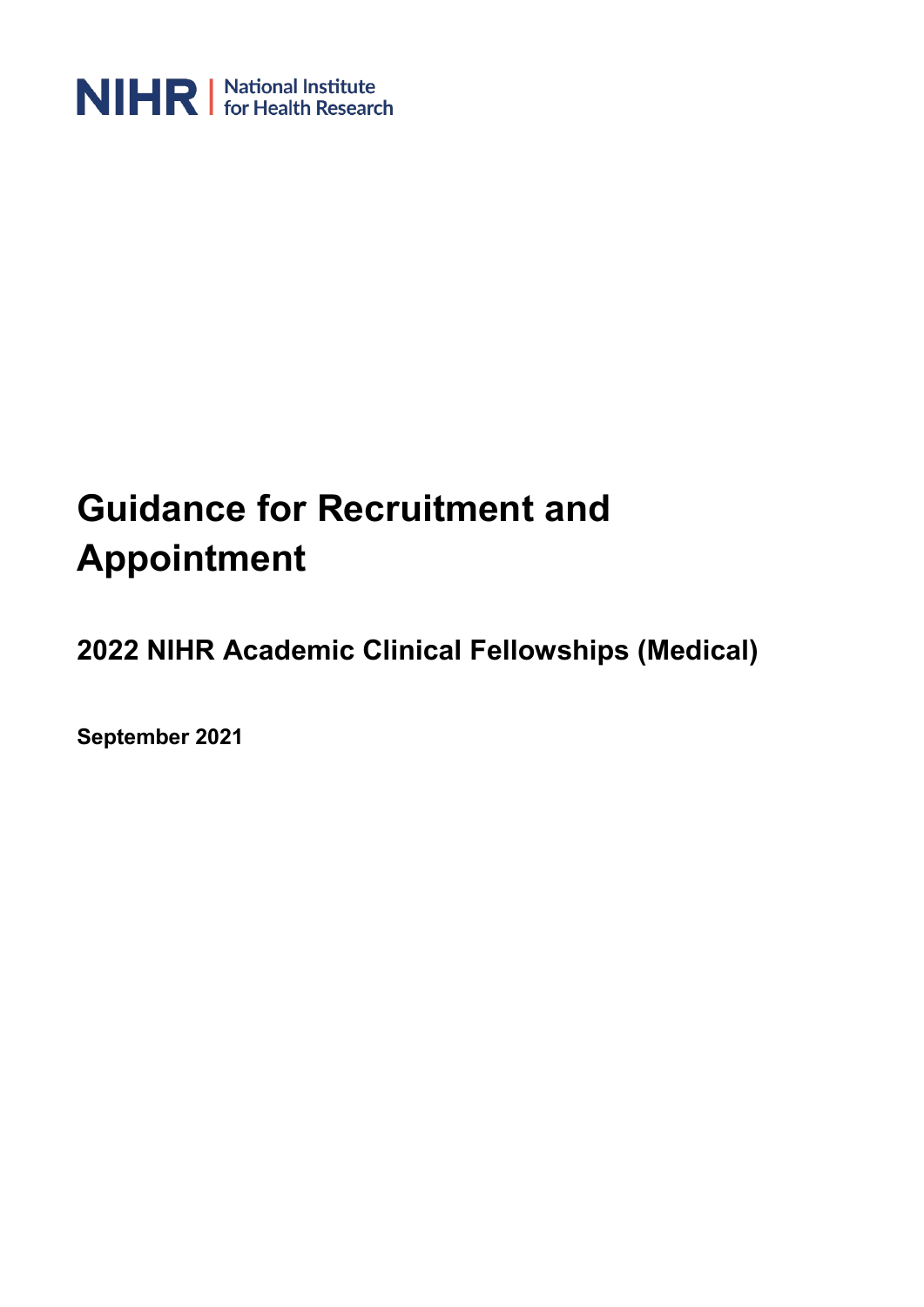

# **Guidance for Recruitment and Appointment**

**2022 NIHR Academic Clinical Fellowships (Medical)**

**September 2021**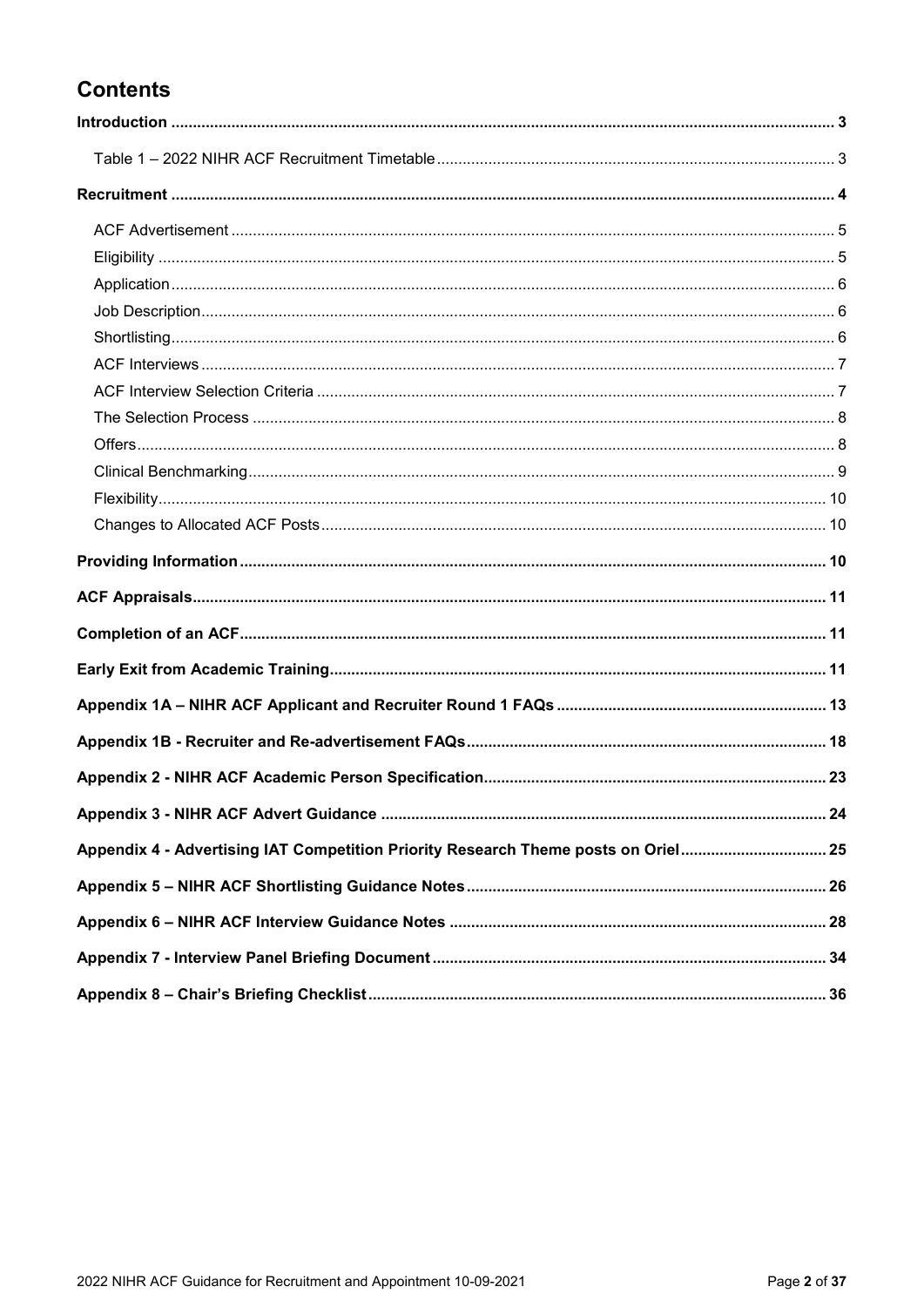### **Contents**

| Appendix 4 - Advertising IAT Competition Priority Research Theme posts on Oriel 25 |  |
|------------------------------------------------------------------------------------|--|
|                                                                                    |  |
|                                                                                    |  |
|                                                                                    |  |
|                                                                                    |  |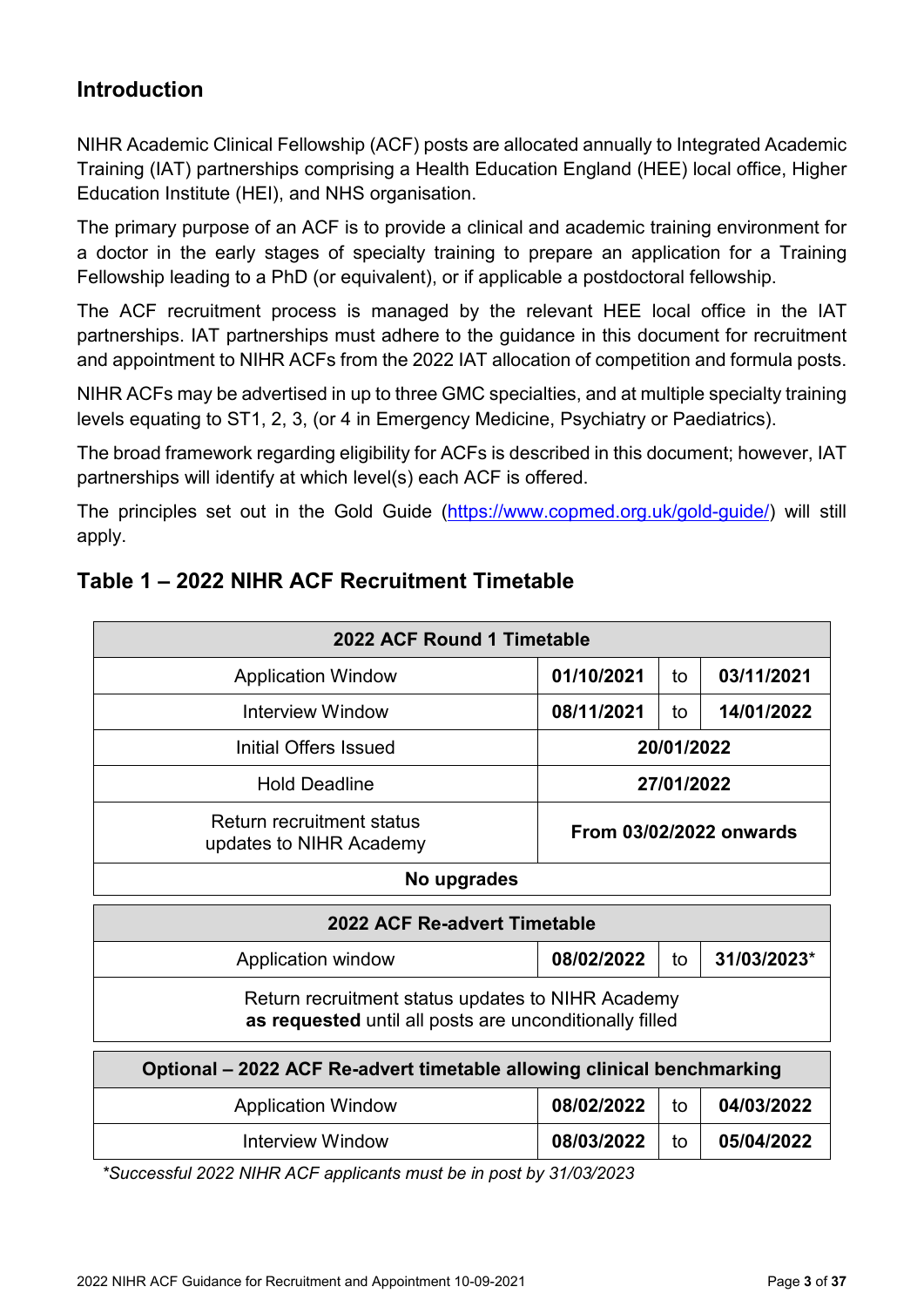### <span id="page-2-0"></span>**Introduction**

NIHR Academic Clinical Fellowship (ACF) posts are allocated annually to Integrated Academic Training (IAT) partnerships comprising a Health Education England (HEE) local office, Higher Education Institute (HEI), and NHS organisation.

The primary purpose of an ACF is to provide a clinical and academic training environment for a doctor in the early stages of specialty training to prepare an application for a Training Fellowship leading to a PhD (or equivalent), or if applicable a postdoctoral fellowship.

The ACF recruitment process is managed by the relevant HEE local office in the IAT partnerships. IAT partnerships must adhere to the guidance in this document for recruitment and appointment to NIHR ACFs from the 2022 IAT allocation of competition and formula posts.

NIHR ACFs may be advertised in up to three GMC specialties, and at multiple specialty training levels equating to ST1, 2, 3, (or 4 in Emergency Medicine, Psychiatry or Paediatrics).

The broad framework regarding eligibility for ACFs is described in this document; however, IAT partnerships will identify at which level(s) each ACF is offered.

The principles set out in the Gold Guide [\(https://www.copmed.org.uk/gold-guide/\)](https://www.copmed.org.uk/gold-guide/) will still apply.

| 2022 ACF Round 1 Timetable                                                                                   |                                |            |                         |  |  |  |
|--------------------------------------------------------------------------------------------------------------|--------------------------------|------------|-------------------------|--|--|--|
| <b>Application Window</b>                                                                                    | 01/10/2021                     | to         | 03/11/2021              |  |  |  |
| Interview Window                                                                                             | 08/11/2021<br>14/01/2022<br>to |            |                         |  |  |  |
| Initial Offers Issued                                                                                        |                                | 20/01/2022 |                         |  |  |  |
| <b>Hold Deadline</b>                                                                                         | 27/01/2022                     |            |                         |  |  |  |
| <b>Return recruitment status</b><br>updates to NIHR Academy                                                  |                                |            | From 03/02/2022 onwards |  |  |  |
| No upgrades                                                                                                  |                                |            |                         |  |  |  |
| 2022 ACF Re-advert Timetable                                                                                 |                                |            |                         |  |  |  |
| Application window                                                                                           | 08/02/2022                     | to         | 31/03/2023*             |  |  |  |
| Return recruitment status updates to NIHR Academy<br>as requested until all posts are unconditionally filled |                                |            |                         |  |  |  |
|                                                                                                              |                                |            |                         |  |  |  |
| Optional – 2022 ACF Re-advert timetable allowing clinical benchmarking                                       |                                |            |                         |  |  |  |
| <b>Application Window</b>                                                                                    | 08/02/2022                     | to         | 04/03/2022              |  |  |  |

### <span id="page-2-1"></span>**Table 1 – 2022 NIHR ACF Recruitment Timetable**

*\*Successful 2022 NIHR ACF applicants must be in post by 31/03/2023*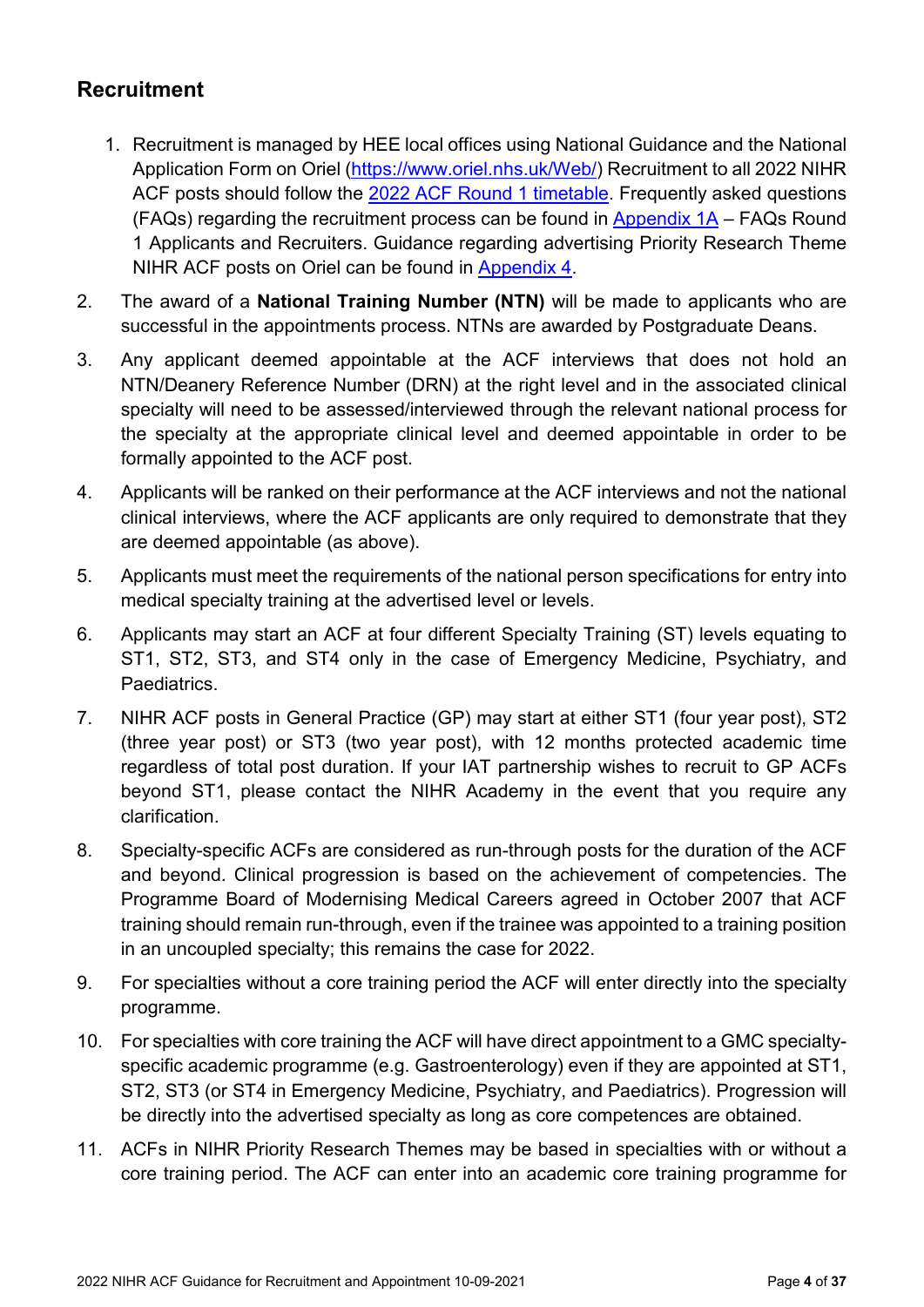### <span id="page-3-0"></span>**Recruitment**

- 1. Recruitment is managed by HEE local offices using National Guidance and the National Application Form on Oriel [\(https://www.oriel.nhs.uk/Web/\)](https://www.oriel.nhs.uk/Web/) Recruitment to all 2022 NIHR ACF posts should follow the 2022 [ACF Round 1 timetable.](#page-2-1) Frequently asked questions (FAQs) regarding the recruitment process can be found in [Appendix 1A](#page-12-0) – FAQs Round 1 Applicants and Recruiters. Guidance regarding advertising Priority Research Theme NIHR ACF posts on Oriel can be found in [Appendix 4.](#page-24-0)
- 2. The award of a **National Training Number (NTN)** will be made to applicants who are successful in the appointments process. NTNs are awarded by Postgraduate Deans.
- 3. Any applicant deemed appointable at the ACF interviews that does not hold an NTN/Deanery Reference Number (DRN) at the right level and in the associated clinical specialty will need to be assessed/interviewed through the relevant national process for the specialty at the appropriate clinical level and deemed appointable in order to be formally appointed to the ACF post.
- 4. Applicants will be ranked on their performance at the ACF interviews and not the national clinical interviews, where the ACF applicants are only required to demonstrate that they are deemed appointable (as above).
- 5. Applicants must meet the requirements of the national person specifications for entry into medical specialty training at the advertised level or levels.
- 6. Applicants may start an ACF at four different Specialty Training (ST) levels equating to ST1, ST2, ST3, and ST4 only in the case of Emergency Medicine, Psychiatry, and Paediatrics.
- 7. NIHR ACF posts in General Practice (GP) may start at either ST1 (four year post), ST2 (three year post) or ST3 (two year post), with 12 months protected academic time regardless of total post duration. If your IAT partnership wishes to recruit to GP ACFs beyond ST1, please contact the NIHR Academy in the event that you require any clarification.
- 8. Specialty-specific ACFs are considered as run-through posts for the duration of the ACF and beyond. Clinical progression is based on the achievement of competencies. The Programme Board of Modernising Medical Careers agreed in October 2007 that ACF training should remain run-through, even if the trainee was appointed to a training position in an uncoupled specialty; this remains the case for 2022.
- 9. For specialties without a core training period the ACF will enter directly into the specialty programme.
- 10. For specialties with core training the ACF will have direct appointment to a GMC specialtyspecific academic programme (e.g. Gastroenterology) even if they are appointed at ST1, ST2, ST3 (or ST4 in Emergency Medicine, Psychiatry, and Paediatrics). Progression will be directly into the advertised specialty as long as core competences are obtained.
- 11. ACFs in NIHR Priority Research Themes may be based in specialties with or without a core training period. The ACF can enter into an academic core training programme for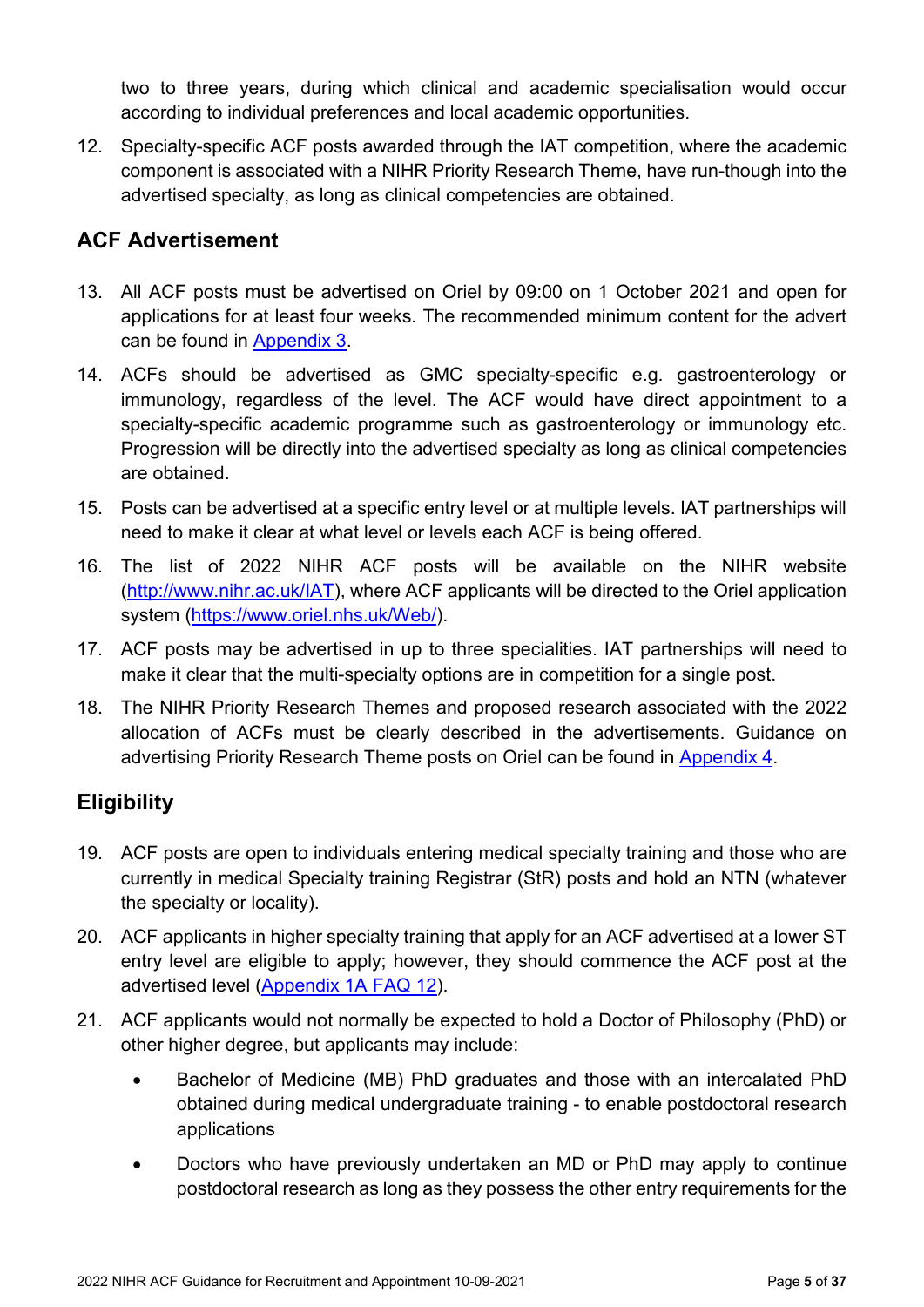two to three years, during which clinical and academic specialisation would occur according to individual preferences and local academic opportunities.

12. Specialty-specific ACF posts awarded through the IAT competition, where the academic component is associated with a NIHR Priority Research Theme, have run-though into the advertised specialty, as long as clinical competencies are obtained.

### <span id="page-4-0"></span>**ACF Advertisement**

- 13. All ACF posts must be advertised on Oriel by 09:00 on 1 October 2021 and open for applications for at least four weeks. The recommended minimum content for the advert can be found in [Appendix 3.](#page-23-0)
- 14. ACFs should be advertised as GMC specialty-specific e.g. gastroenterology or immunology, regardless of the level. The ACF would have direct appointment to a specialty-specific academic programme such as gastroenterology or immunology etc. Progression will be directly into the advertised specialty as long as clinical competencies are obtained.
- 15. Posts can be advertised at a specific entry level or at multiple levels. IAT partnerships will need to make it clear at what level or levels each ACF is being offered.
- 16. The list of 2022 NIHR ACF posts will be available on the NIHR website [\(http://www.nihr.ac.uk/IAT\)](http://www.nihr.ac.uk/IAT), where ACF applicants will be directed to the Oriel application system [\(https://www.oriel.nhs.uk/Web/\)](https://www.oriel.nhs.uk/Web/).
- 17. ACF posts may be advertised in up to three specialities. IAT partnerships will need to make it clear that the multi-specialty options are in competition for a single post.
- 18. The NIHR Priority Research Themes and proposed research associated with the 2022 allocation of ACFs must be clearly described in the advertisements. Guidance on advertising Priority Research Theme posts on Oriel can be found in [Appendix 4.](#page-24-0)

### <span id="page-4-1"></span>**Eligibility**

- 19. ACF posts are open to individuals entering medical specialty training and those who are currently in medical Specialty training Registrar (StR) posts and hold an NTN (whatever the specialty or locality).
- 20. ACF applicants in higher specialty training that apply for an ACF advertised at a lower ST entry level are eligible to apply; however, they should commence the ACF post at the advertised level [\(Appendix 1A FAQ 12\)](#page-16-0).
- 21. ACF applicants would not normally be expected to hold a Doctor of Philosophy (PhD) or other higher degree, but applicants may include:
	- Bachelor of Medicine (MB) PhD graduates and those with an intercalated PhD obtained during medical undergraduate training - to enable postdoctoral research applications
	- Doctors who have previously undertaken an MD or PhD may apply to continue postdoctoral research as long as they possess the other entry requirements for the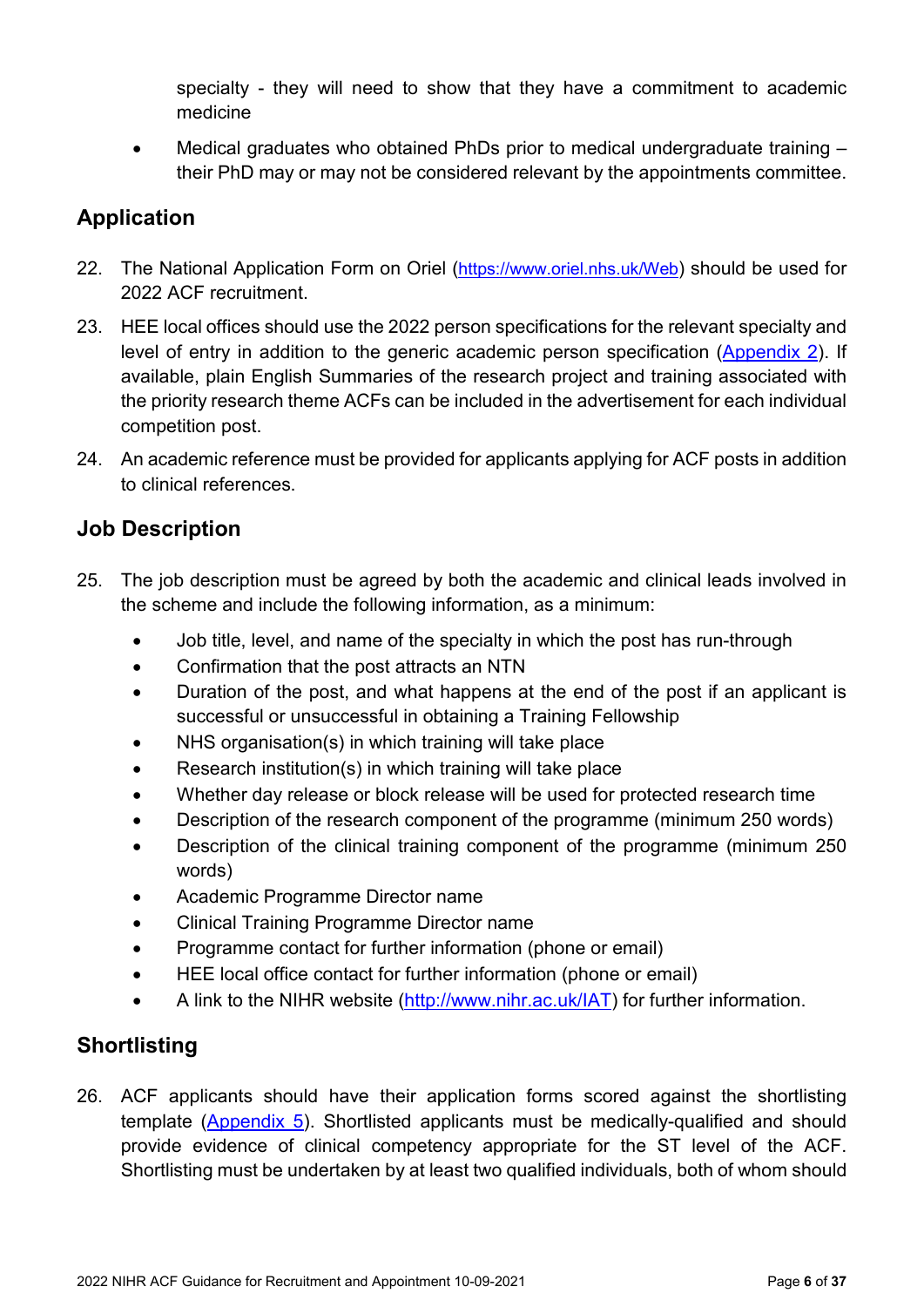specialty - they will need to show that they have a commitment to academic medicine

• Medical graduates who obtained PhDs prior to medical undergraduate training – their PhD may or may not be considered relevant by the appointments committee.

### <span id="page-5-0"></span>**Application**

- 22. The National Application Form on Oriel [\(https://www.oriel.nhs.uk/Web\)](https://www.oriel.nhs.uk/Web) should be used for 2022 ACF recruitment.
- 23. HEE local offices should use the 2022 person specifications for the relevant specialty and level of entry in addition to the generic academic person specification [\(Appendix 2\)](#page-21-0). If available, plain English Summaries of the research project and training associated with the priority research theme ACFs can be included in the advertisement for each individual competition post.
- 24. An academic reference must be provided for applicants applying for ACF posts in addition to clinical references.

### <span id="page-5-1"></span>**Job Description**

- 25. The job description must be agreed by both the academic and clinical leads involved in the scheme and include the following information, as a minimum:
	- Job title, level, and name of the specialty in which the post has run-through
	- Confirmation that the post attracts an NTN
	- Duration of the post, and what happens at the end of the post if an applicant is successful or unsuccessful in obtaining a Training Fellowship
	- NHS organisation(s) in which training will take place
	- Research institution(s) in which training will take place
	- Whether day release or block release will be used for protected research time
	- Description of the research component of the programme (minimum 250 words)
	- Description of the clinical training component of the programme (minimum 250 words)
	- Academic Programme Director name
	- Clinical Training Programme Director name
	- Programme contact for further information (phone or email)
	- HEE local office contact for further information (phone or email)
	- A link to the NIHR website [\(http://www.nihr.ac.uk/IAT\)](http://www.nihr.ac.uk/IAT) for further information.

### <span id="page-5-2"></span>**Shortlisting**

26. ACF applicants should have their application forms scored against the shortlisting template [\(Appendix](#page-25-0) 5). Shortlisted applicants must be medically-qualified and should provide evidence of clinical competency appropriate for the ST level of the ACF. Shortlisting must be undertaken by at least two qualified individuals, both of whom should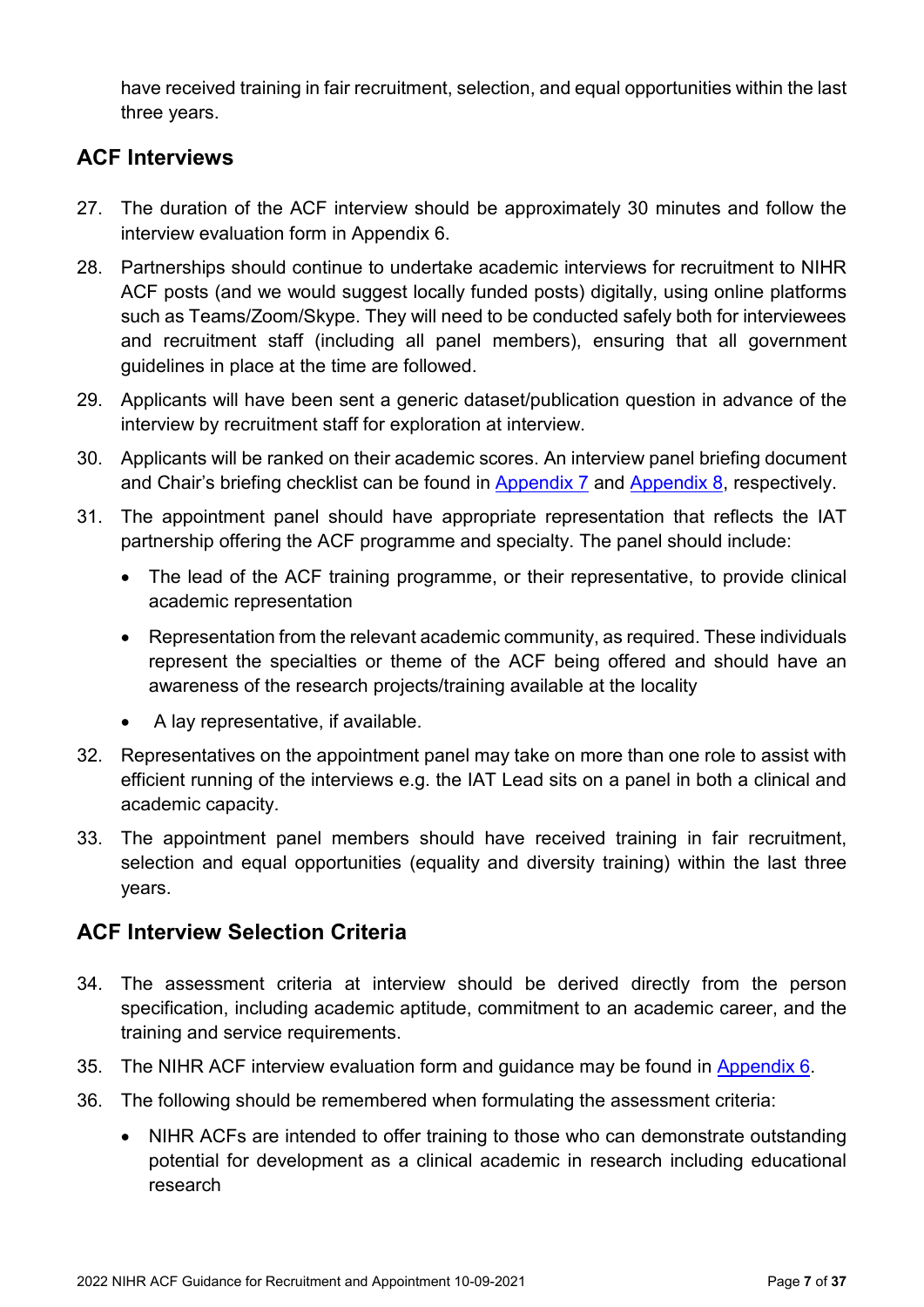have received training in fair recruitment, selection, and equal opportunities within the last three years.

### <span id="page-6-0"></span>**ACF Interviews**

- 27. The duration of the ACF interview should be approximately 30 minutes and follow the interview evaluation form in Appendix 6.
- 28. Partnerships should continue to undertake academic interviews for recruitment to NIHR ACF posts (and we would suggest locally funded posts) digitally, using online platforms such as Teams/Zoom/Skype. They will need to be conducted safely both for interviewees and recruitment staff (including all panel members), ensuring that all government guidelines in place at the time are followed.
- 29. Applicants will have been sent a generic dataset/publication question in advance of the interview by recruitment staff for exploration at interview.
- 30. Applicants will be ranked on their academic scores. An interview panel briefing document and Chair's briefing checklist can be found in [Appendix 7](#page-33-0) and [Appendix 8,](#page-35-0) respectively.
- 31. The appointment panel should have appropriate representation that reflects the IAT partnership offering the ACF programme and specialty. The panel should include:
	- The lead of the ACF training programme, or their representative, to provide clinical academic representation
	- Representation from the relevant academic community, as required. These individuals represent the specialties or theme of the ACF being offered and should have an awareness of the research projects/training available at the locality
	- A lay representative, if available.
- 32. Representatives on the appointment panel may take on more than one role to assist with efficient running of the interviews e.g. the IAT Lead sits on a panel in both a clinical and academic capacity.
- 33. The appointment panel members should have received training in fair recruitment, selection and equal opportunities (equality and diversity training) within the last three years.

### <span id="page-6-1"></span>**ACF Interview Selection Criteria**

- 34. The assessment criteria at interview should be derived directly from the person specification, including academic aptitude, commitment to an academic career, and the training and service requirements.
- 35. The NIHR ACF interview evaluation form and guidance may be found in [Appendix 6.](#page-26-0)
- 36. The following should be remembered when formulating the assessment criteria:
	- NIHR ACFs are intended to offer training to those who can demonstrate outstanding potential for development as a clinical academic in research including educational research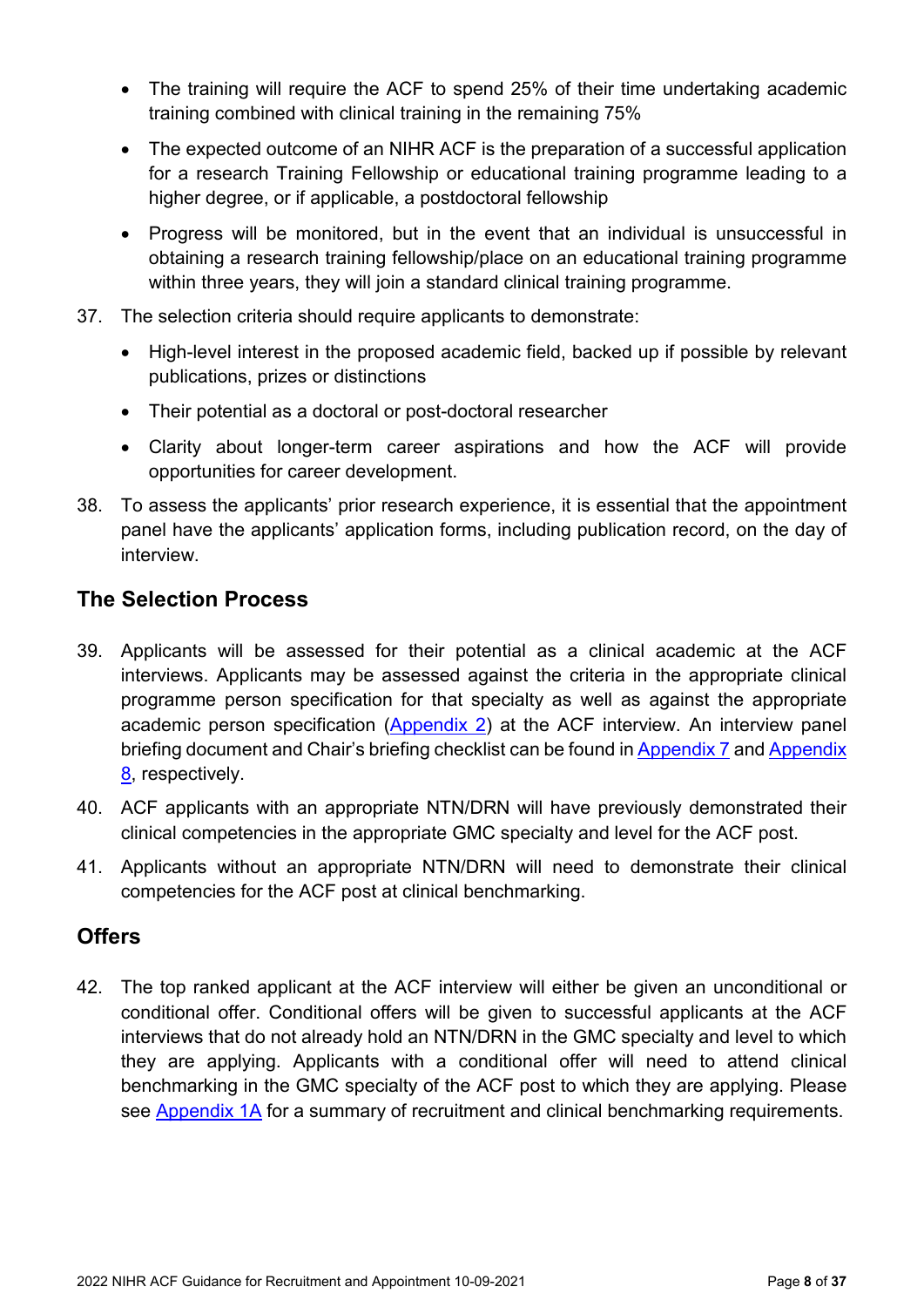- The training will require the ACF to spend 25% of their time undertaking academic training combined with clinical training in the remaining 75%
- The expected outcome of an NIHR ACF is the preparation of a successful application for a research Training Fellowship or educational training programme leading to a higher degree, or if applicable, a postdoctoral fellowship
- Progress will be monitored, but in the event that an individual is unsuccessful in obtaining a research training fellowship/place on an educational training programme within three years, they will join a standard clinical training programme.
- 37. The selection criteria should require applicants to demonstrate:
	- High-level interest in the proposed academic field, backed up if possible by relevant publications, prizes or distinctions
	- Their potential as a doctoral or post-doctoral researcher
	- Clarity about longer-term career aspirations and how the ACF will provide opportunities for career development.
- 38. To assess the applicants' prior research experience, it is essential that the appointment panel have the applicants' application forms, including publication record, on the day of interview.

### <span id="page-7-0"></span>**The Selection Process**

- 39. Applicants will be assessed for their potential as a clinical academic at the ACF interviews. Applicants may be assessed against the criteria in the appropriate clinical programme person specification for that specialty as well as against the appropriate academic person specification [\(Appendix](#page-21-0) 2) at the ACF interview. An interview panel briefing document and Chair's briefing checklist can be found in [Appendix 7](#page-33-0) and Appendix [8,](#page-35-0) respectively.
- 40. ACF applicants with an appropriate NTN/DRN will have previously demonstrated their clinical competencies in the appropriate GMC specialty and level for the ACF post.
- 41. Applicants without an appropriate NTN/DRN will need to demonstrate their clinical competencies for the ACF post at clinical benchmarking.

### <span id="page-7-1"></span>**Offers**

42. The top ranked applicant at the ACF interview will either be given an unconditional or conditional offer. Conditional offers will be given to successful applicants at the ACF interviews that do not already hold an NTN/DRN in the GMC specialty and level to which they are applying. Applicants with a conditional offer will need to attend clinical benchmarking in the GMC specialty of the ACF post to which they are applying. Please see [Appendix](#page-12-0) 1A for a summary of recruitment and clinical benchmarking requirements.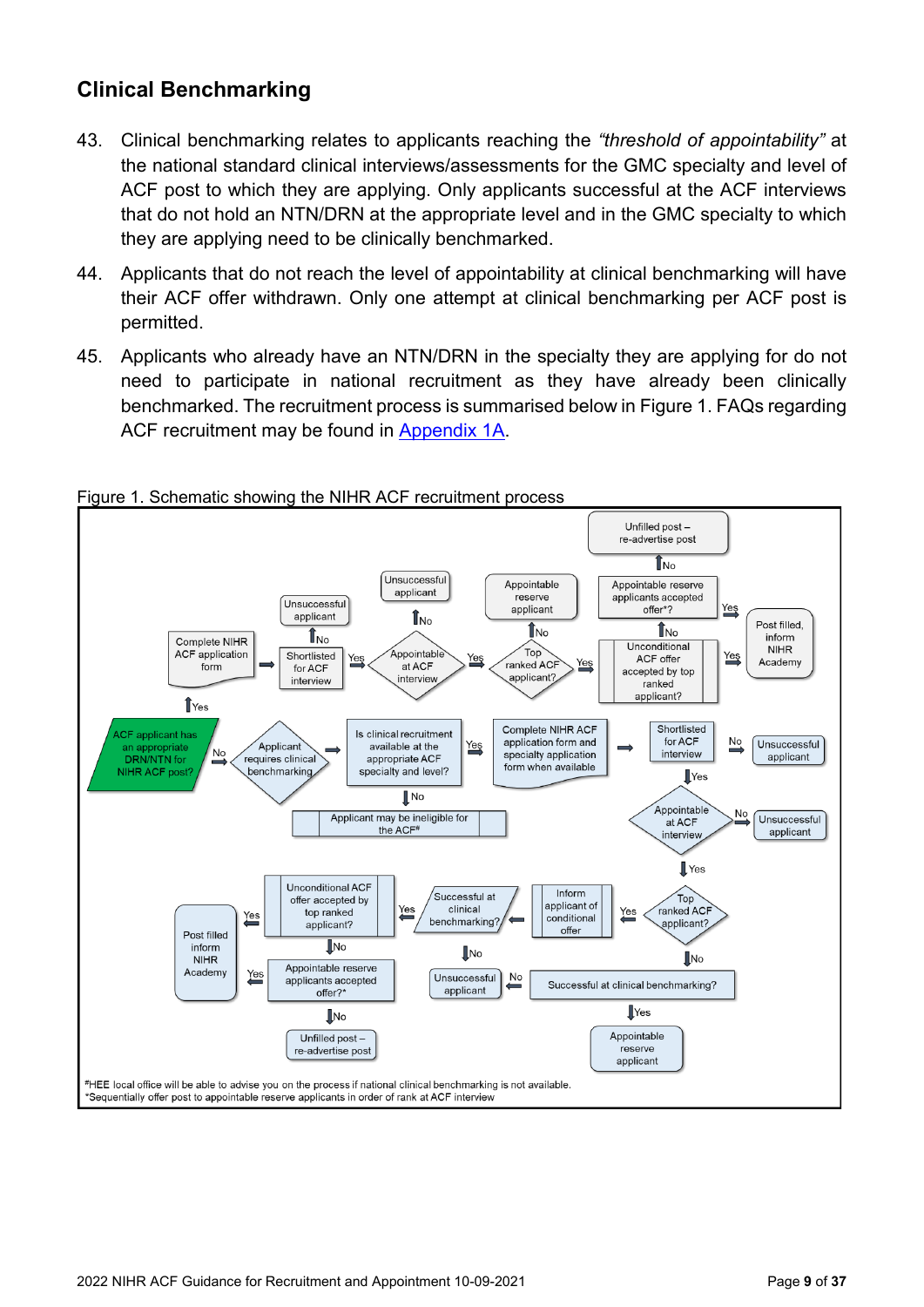### <span id="page-8-0"></span>**Clinical Benchmarking**

- 43. Clinical benchmarking relates to applicants reaching the *"threshold of appointability"* at the national standard clinical interviews/assessments for the GMC specialty and level of ACF post to which they are applying. Only applicants successful at the ACF interviews that do not hold an NTN/DRN at the appropriate level and in the GMC specialty to which they are applying need to be clinically benchmarked.
- 44. Applicants that do not reach the level of appointability at clinical benchmarking will have their ACF offer withdrawn. Only one attempt at clinical benchmarking per ACF post is permitted.
- 45. Applicants who already have an NTN/DRN in the specialty they are applying for do not need to participate in national recruitment as they have already been clinically benchmarked. The recruitment process is summarised below in Figure 1. FAQs regarding ACF recruitment may be found in [Appendix 1A](#page-12-0).



#### <span id="page-8-1"></span>Figure 1. Schematic showing the NIHR ACF recruitment process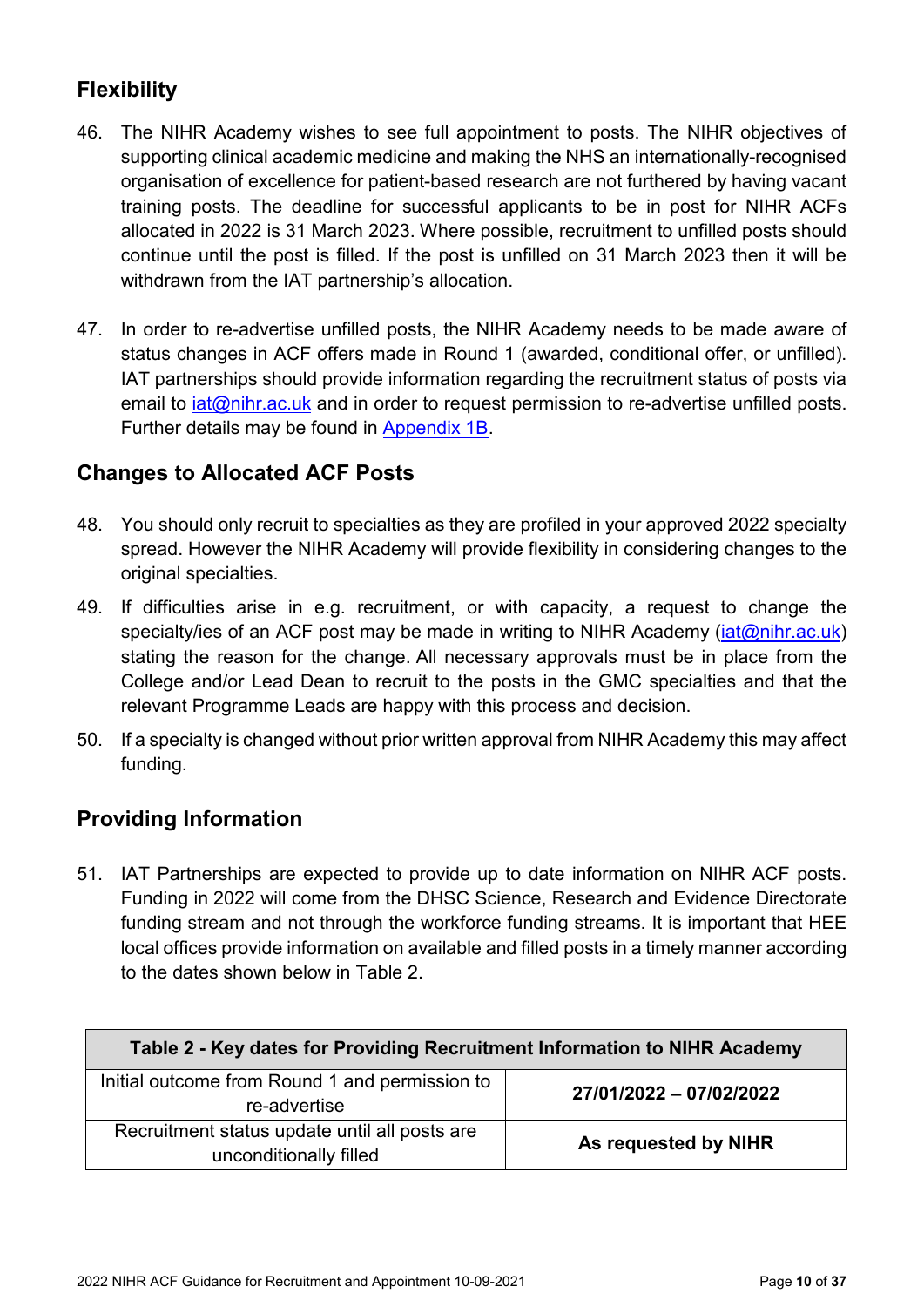### <span id="page-9-0"></span>**Flexibility**

- 46. The NIHR Academy wishes to see full appointment to posts. The NIHR objectives of supporting clinical academic medicine and making the NHS an internationally-recognised organisation of excellence for patient-based research are not furthered by having vacant training posts. The deadline for successful applicants to be in post for NIHR ACFs allocated in 2022 is 31 March 2023. Where possible, recruitment to unfilled posts should continue until the post is filled. If the post is unfilled on 31 March 2023 then it will be withdrawn from the IAT partnership's allocation.
- 47. In order to re-advertise unfilled posts, the NIHR Academy needs to be made aware of status changes in ACF offers made in Round 1 (awarded, conditional offer, or unfilled). IAT partnerships should provide information regarding the recruitment status of posts via email to *iat@nihr.ac.uk* and in order to request permission to re-advertise unfilled posts. Further details may be found in [Appendix 1B.](#page-17-0)

### <span id="page-9-1"></span>**Changes to Allocated ACF Posts**

- 48. You should only recruit to specialties as they are profiled in your approved 2022 specialty spread. However the NIHR Academy will provide flexibility in considering changes to the original specialties.
- 49. If difficulties arise in e.g. recruitment, or with capacity, a request to change the specialty/ies of an ACF post may be made in writing to NIHR Academy (*iat@nihr.ac.uk*) stating the reason for the change. All necessary approvals must be in place from the College and/or Lead Dean to recruit to the posts in the GMC specialties and that the relevant Programme Leads are happy with this process and decision.
- 50. If a specialty is changed without prior written approval from NIHR Academy this may affect funding.

### <span id="page-9-2"></span>**Providing Information**

51. IAT Partnerships are expected to provide up to date information on NIHR ACF posts. Funding in 2022 will come from the DHSC Science, Research and Evidence Directorate funding stream and not through the workforce funding streams. It is important that HEE local offices provide information on available and filled posts in a timely manner according to the dates shown below in Table 2.

| Table 2 - Key dates for Providing Recruitment Information to NIHR Academy |                         |  |  |  |
|---------------------------------------------------------------------------|-------------------------|--|--|--|
| Initial outcome from Round 1 and permission to<br>re-advertise            | 27/01/2022 - 07/02/2022 |  |  |  |
| Recruitment status update until all posts are<br>unconditionally filled   | As requested by NIHR    |  |  |  |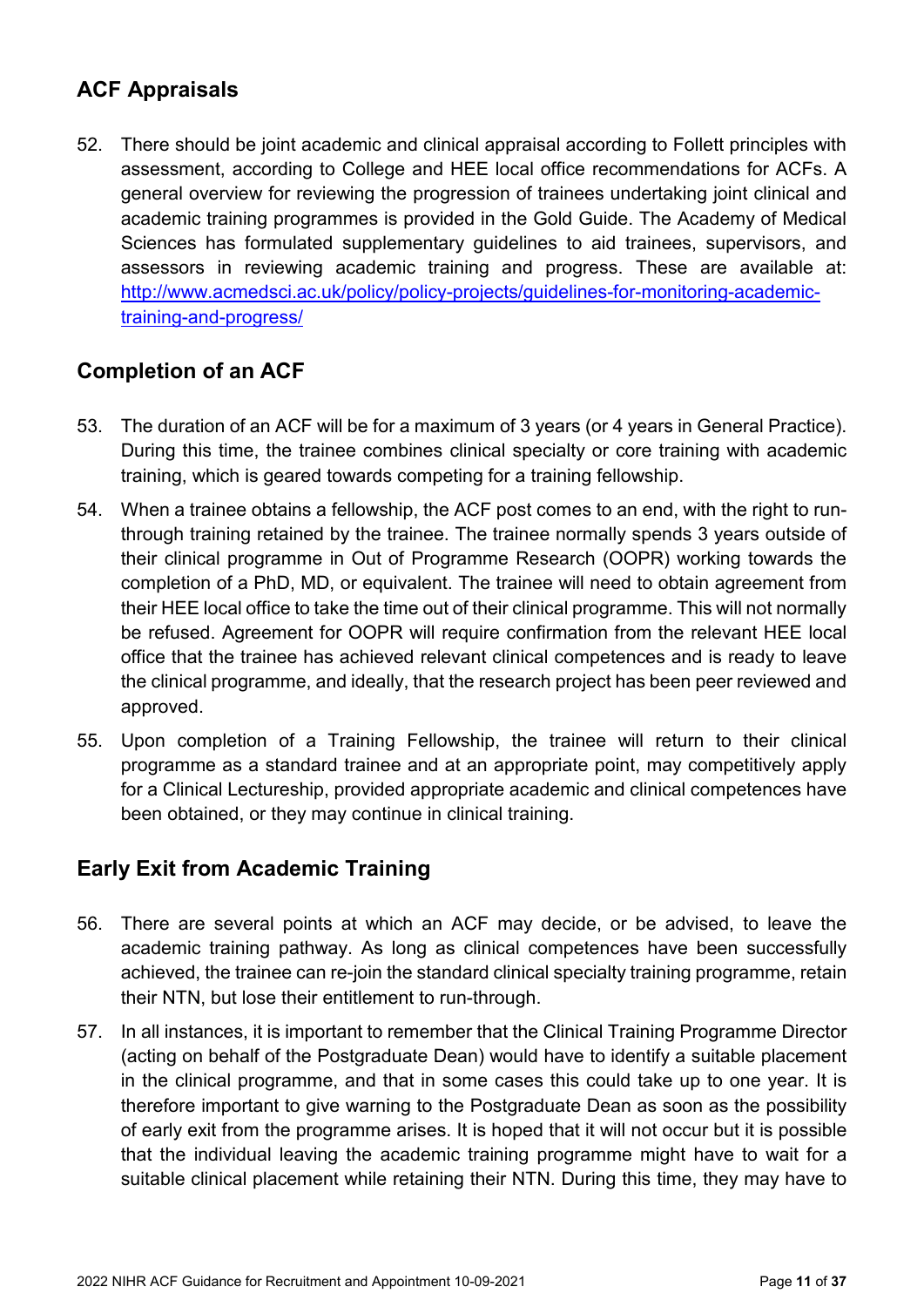### <span id="page-10-0"></span>**ACF Appraisals**

52. There should be joint academic and clinical appraisal according to Follett principles with assessment, according to College and HEE local office recommendations for ACFs. A general overview for reviewing the progression of trainees undertaking joint clinical and academic training programmes is provided in the Gold Guide. The Academy of Medical Sciences has formulated supplementary guidelines to aid trainees, supervisors, and assessors in reviewing academic training and progress. These are available at: [http://www.acmedsci.ac.uk/policy/policy-projects/guidelines-for-monitoring-academic](http://www.acmedsci.ac.uk/policy/policy-projects/guidelines-for-monitoring-academic-training-and-progress/)[training-and-progress/](http://www.acmedsci.ac.uk/policy/policy-projects/guidelines-for-monitoring-academic-training-and-progress/)

### <span id="page-10-1"></span>**Completion of an ACF**

- 53. The duration of an ACF will be for a maximum of 3 years (or 4 years in General Practice). During this time, the trainee combines clinical specialty or core training with academic training, which is geared towards competing for a training fellowship.
- 54. When a trainee obtains a fellowship, the ACF post comes to an end, with the right to runthrough training retained by the trainee. The trainee normally spends 3 years outside of their clinical programme in Out of Programme Research (OOPR) working towards the completion of a PhD, MD, or equivalent. The trainee will need to obtain agreement from their HEE local office to take the time out of their clinical programme. This will not normally be refused. Agreement for OOPR will require confirmation from the relevant HEE local office that the trainee has achieved relevant clinical competences and is ready to leave the clinical programme, and ideally, that the research project has been peer reviewed and approved.
- 55. Upon completion of a Training Fellowship, the trainee will return to their clinical programme as a standard trainee and at an appropriate point, may competitively apply for a Clinical Lectureship, provided appropriate academic and clinical competences have been obtained, or they may continue in clinical training.

### <span id="page-10-2"></span>**Early Exit from Academic Training**

- 56. There are several points at which an ACF may decide, or be advised, to leave the academic training pathway. As long as clinical competences have been successfully achieved, the trainee can re-join the standard clinical specialty training programme, retain their NTN, but lose their entitlement to run-through.
- 57. In all instances, it is important to remember that the Clinical Training Programme Director (acting on behalf of the Postgraduate Dean) would have to identify a suitable placement in the clinical programme, and that in some cases this could take up to one year. It is therefore important to give warning to the Postgraduate Dean as soon as the possibility of early exit from the programme arises. It is hoped that it will not occur but it is possible that the individual leaving the academic training programme might have to wait for a suitable clinical placement while retaining their NTN. During this time, they may have to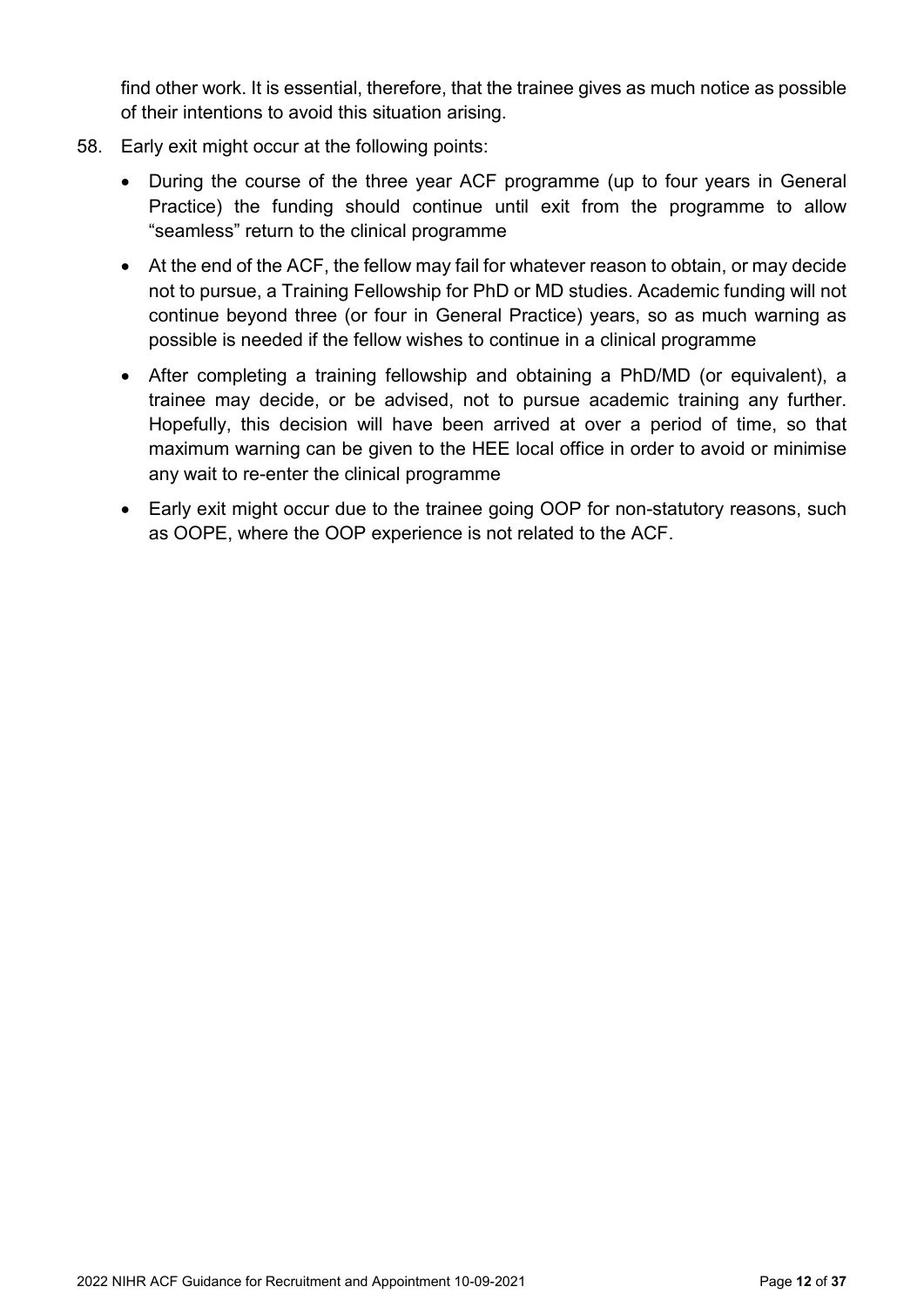find other work. It is essential, therefore, that the trainee gives as much notice as possible of their intentions to avoid this situation arising.

- 58. Early exit might occur at the following points:
	- During the course of the three year ACF programme (up to four years in General Practice) the funding should continue until exit from the programme to allow "seamless" return to the clinical programme
	- At the end of the ACF, the fellow may fail for whatever reason to obtain, or may decide not to pursue, a Training Fellowship for PhD or MD studies. Academic funding will not continue beyond three (or four in General Practice) years, so as much warning as possible is needed if the fellow wishes to continue in a clinical programme
	- After completing a training fellowship and obtaining a PhD/MD (or equivalent), a trainee may decide, or be advised, not to pursue academic training any further. Hopefully, this decision will have been arrived at over a period of time, so that maximum warning can be given to the HEE local office in order to avoid or minimise any wait to re-enter the clinical programme
	- Early exit might occur due to the trainee going OOP for non-statutory reasons, such as OOPE, where the OOP experience is not related to the ACF.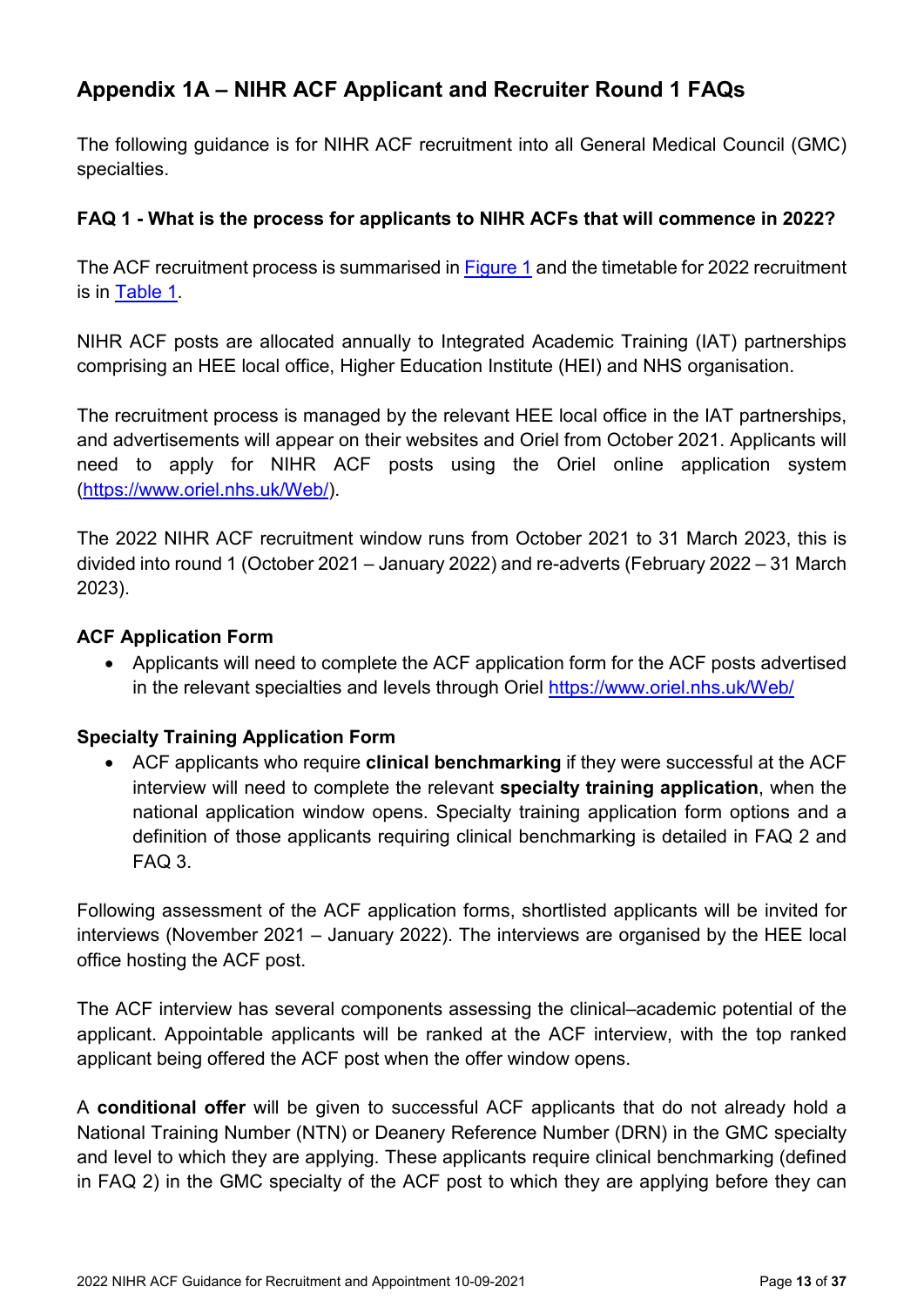### <span id="page-12-0"></span>**Appendix 1A – NIHR ACF Applicant and Recruiter Round 1 FAQs**

The following guidance is for NIHR ACF recruitment into all General Medical Council (GMC) specialties.

#### **FAQ 1 - What is the process for applicants to NIHR ACFs that will commence in 2022?**

The ACF recruitment process is summarised in [Figure 1](#page-8-1) and the timetable for 2022 recruitment is in [Table 1.](#page-2-1)

NIHR ACF posts are allocated annually to Integrated Academic Training (IAT) partnerships comprising an HEE local office, Higher Education Institute (HEI) and NHS organisation.

The recruitment process is managed by the relevant HEE local office in the IAT partnerships, and advertisements will appear on their websites and Oriel from October 2021. Applicants will need to apply for NIHR ACF posts using the Oriel online application system [\(https://www.oriel.nhs.uk/Web/\)](https://www.oriel.nhs.uk/Web/).

The 2022 NIHR ACF recruitment window runs from October 2021 to 31 March 2023, this is divided into round 1 (October 2021 – January 2022) and re-adverts (February 2022 – 31 March 2023).

#### **ACF Application Form**

• Applicants will need to complete the ACF application form for the ACF posts advertised in the relevant specialties and levels through Oriel<https://www.oriel.nhs.uk/Web/>

#### **Specialty Training Application Form**

• ACF applicants who require **clinical benchmarking** if they were successful at the ACF interview will need to complete the relevant **specialty training application**, when the national application window opens. Specialty training application form options and a definition of those applicants requiring clinical benchmarking is detailed in FAQ 2 and FAQ 3.

Following assessment of the ACF application forms, shortlisted applicants will be invited for interviews (November 2021 – January 2022). The interviews are organised by the HEE local office hosting the ACF post.

The ACF interview has several components assessing the clinical–academic potential of the applicant. Appointable applicants will be ranked at the ACF interview, with the top ranked applicant being offered the ACF post when the offer window opens.

A **conditional offer** will be given to successful ACF applicants that do not already hold a National Training Number (NTN) or Deanery Reference Number (DRN) in the GMC specialty and level to which they are applying. These applicants require clinical benchmarking (defined in FAQ 2) in the GMC specialty of the ACF post to which they are applying before they can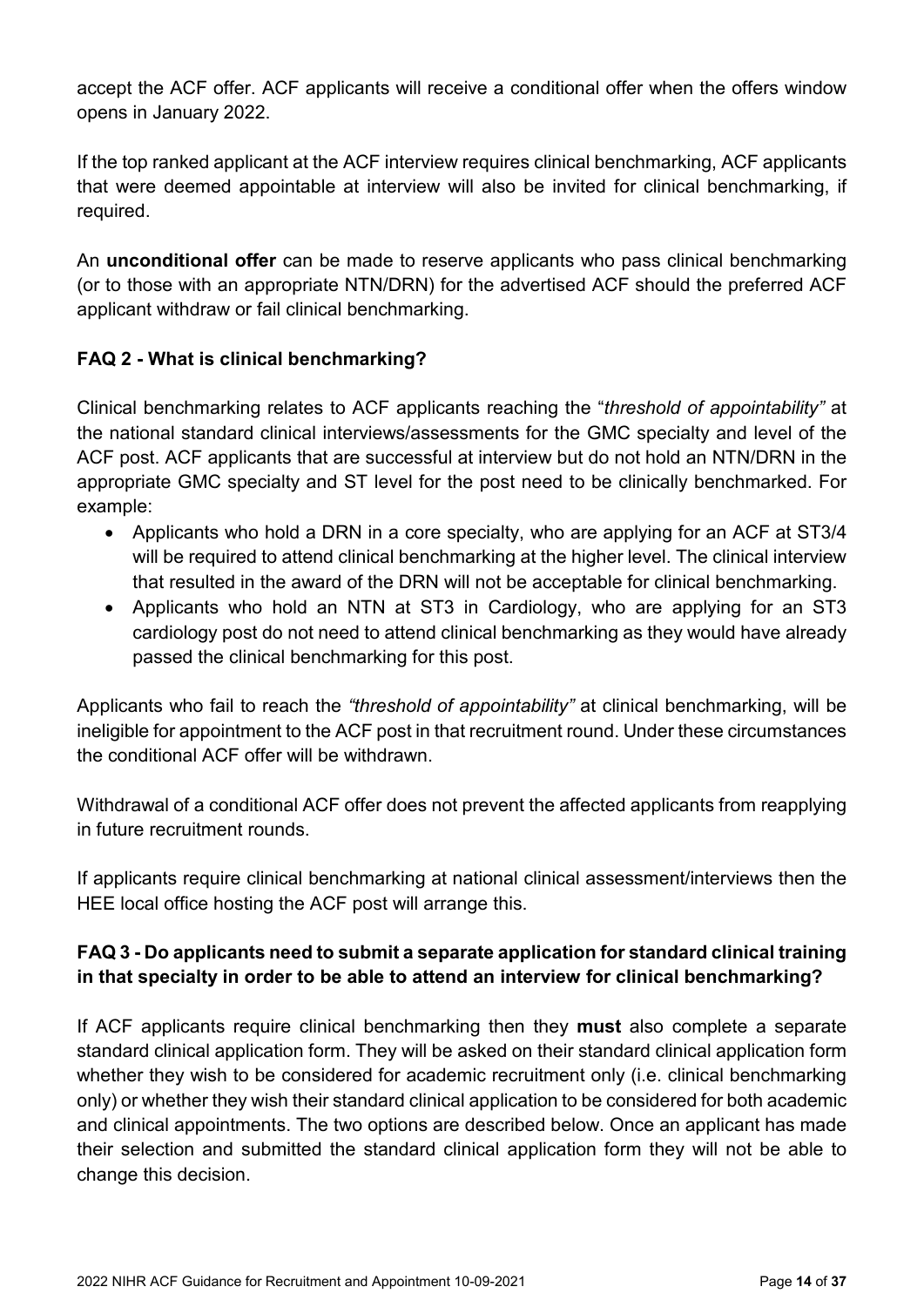accept the ACF offer. ACF applicants will receive a conditional offer when the offers window opens in January 2022.

If the top ranked applicant at the ACF interview requires clinical benchmarking, ACF applicants that were deemed appointable at interview will also be invited for clinical benchmarking, if required.

An **unconditional offer** can be made to reserve applicants who pass clinical benchmarking (or to those with an appropriate NTN/DRN) for the advertised ACF should the preferred ACF applicant withdraw or fail clinical benchmarking.

### **FAQ 2 - What is clinical benchmarking?**

Clinical benchmarking relates to ACF applicants reaching the "*threshold of appointability"* at the national standard clinical interviews/assessments for the GMC specialty and level of the ACF post. ACF applicants that are successful at interview but do not hold an NTN/DRN in the appropriate GMC specialty and ST level for the post need to be clinically benchmarked. For example:

- Applicants who hold a DRN in a core specialty, who are applying for an ACF at ST3/4 will be required to attend clinical benchmarking at the higher level. The clinical interview that resulted in the award of the DRN will not be acceptable for clinical benchmarking.
- Applicants who hold an NTN at ST3 in Cardiology, who are applying for an ST3 cardiology post do not need to attend clinical benchmarking as they would have already passed the clinical benchmarking for this post.

Applicants who fail to reach the *"threshold of appointability"* at clinical benchmarking, will be ineligible for appointment to the ACF post in that recruitment round. Under these circumstances the conditional ACF offer will be withdrawn.

Withdrawal of a conditional ACF offer does not prevent the affected applicants from reapplying in future recruitment rounds.

If applicants require clinical benchmarking at national clinical assessment/interviews then the HEE local office hosting the ACF post will arrange this.

### **FAQ 3 - Do applicants need to submit a separate application for standard clinical training in that specialty in order to be able to attend an interview for clinical benchmarking?**

If ACF applicants require clinical benchmarking then they **must** also complete a separate standard clinical application form. They will be asked on their standard clinical application form whether they wish to be considered for academic recruitment only (i.e. clinical benchmarking only) or whether they wish their standard clinical application to be considered for both academic and clinical appointments. The two options are described below. Once an applicant has made their selection and submitted the standard clinical application form they will not be able to change this decision.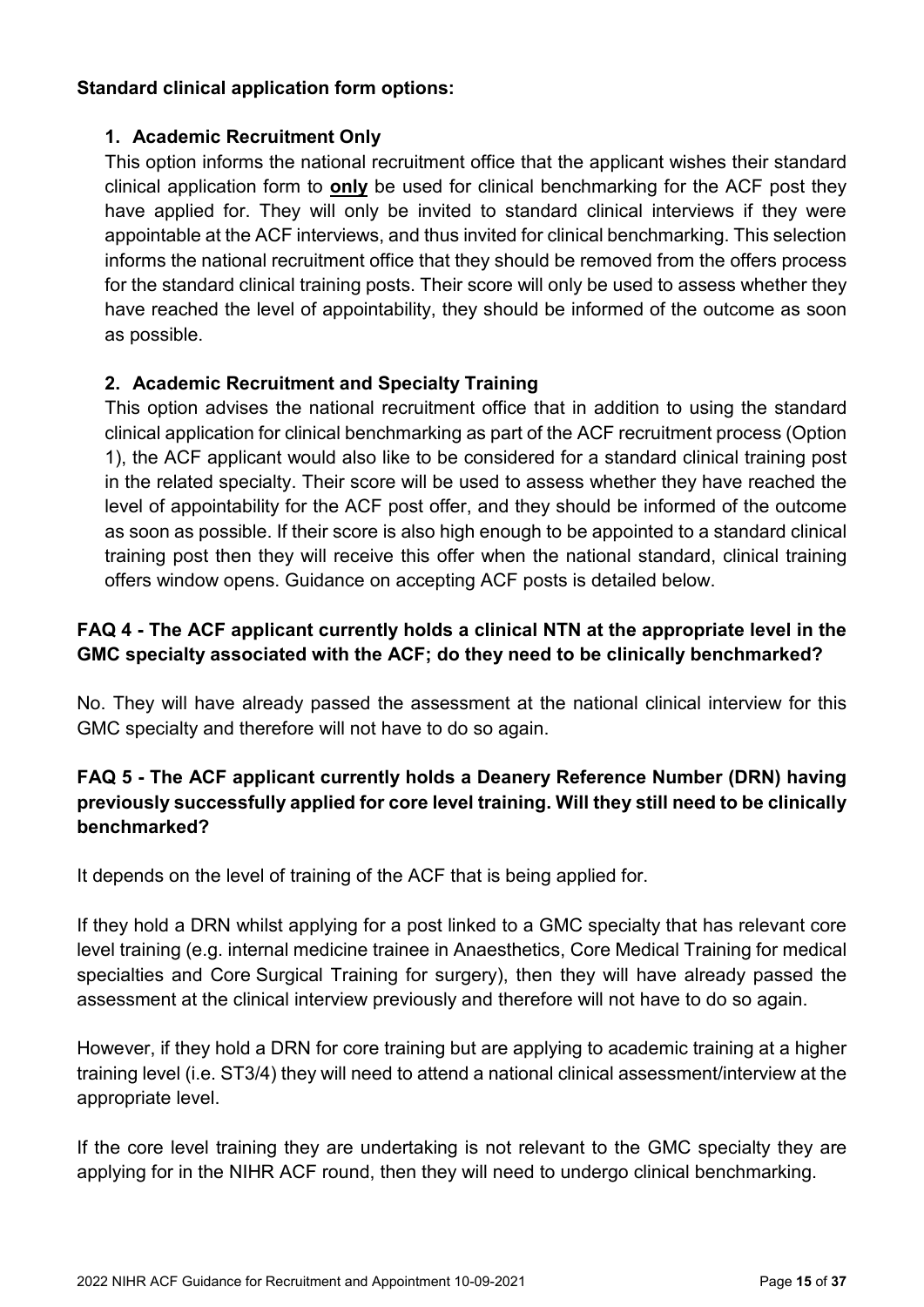### **Standard clinical application form options:**

### **1. Academic Recruitment Only**

This option informs the national recruitment office that the applicant wishes their standard clinical application form to **only** be used for clinical benchmarking for the ACF post they have applied for. They will only be invited to standard clinical interviews if they were appointable at the ACF interviews, and thus invited for clinical benchmarking. This selection informs the national recruitment office that they should be removed from the offers process for the standard clinical training posts. Their score will only be used to assess whether they have reached the level of appointability, they should be informed of the outcome as soon as possible.

### **2. Academic Recruitment and Specialty Training**

This option advises the national recruitment office that in addition to using the standard clinical application for clinical benchmarking as part of the ACF recruitment process (Option 1), the ACF applicant would also like to be considered for a standard clinical training post in the related specialty. Their score will be used to assess whether they have reached the level of appointability for the ACF post offer, and they should be informed of the outcome as soon as possible. If their score is also high enough to be appointed to a standard clinical training post then they will receive this offer when the national standard, clinical training offers window opens. Guidance on accepting ACF posts is detailed below.

### **FAQ 4 - The ACF applicant currently holds a clinical NTN at the appropriate level in the GMC specialty associated with the ACF; do they need to be clinically benchmarked?**

No. They will have already passed the assessment at the national clinical interview for this GMC specialty and therefore will not have to do so again.

### **FAQ 5 - The ACF applicant currently holds a Deanery Reference Number (DRN) having previously successfully applied for core level training. Will they still need to be clinically benchmarked?**

It depends on the level of training of the ACF that is being applied for.

If they hold a DRN whilst applying for a post linked to a GMC specialty that has relevant core level training (e.g. internal medicine trainee in Anaesthetics, Core Medical Training for medical specialties and Core Surgical Training for surgery), then they will have already passed the assessment at the clinical interview previously and therefore will not have to do so again.

However, if they hold a DRN for core training but are applying to academic training at a higher training level (i.e. ST3/4) they will need to attend a national clinical assessment/interview at the appropriate level.

If the core level training they are undertaking is not relevant to the GMC specialty they are applying for in the NIHR ACF round, then they will need to undergo clinical benchmarking.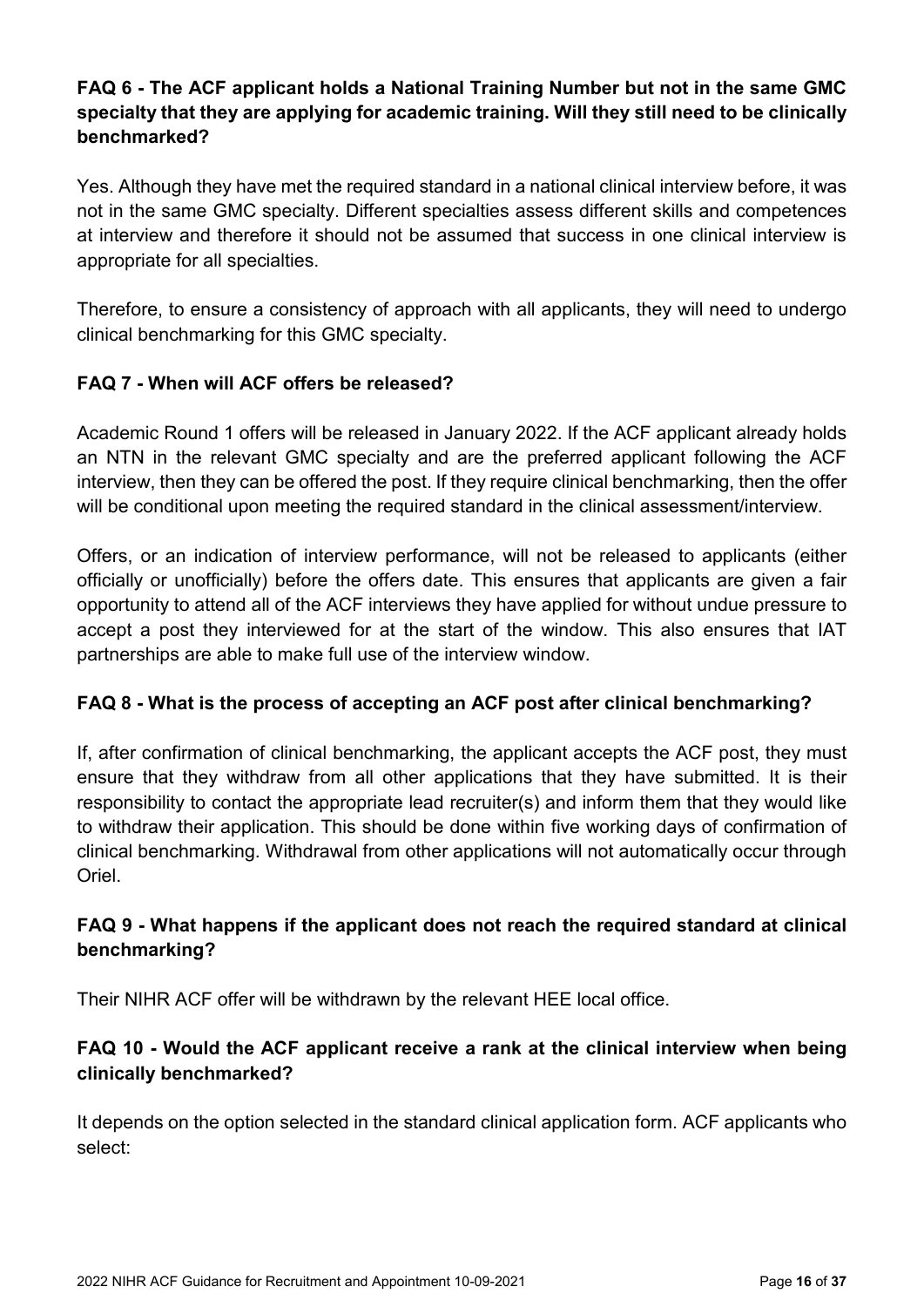### **FAQ 6 - The ACF applicant holds a National Training Number but not in the same GMC specialty that they are applying for academic training. Will they still need to be clinically benchmarked?**

Yes. Although they have met the required standard in a national clinical interview before, it was not in the same GMC specialty. Different specialties assess different skills and competences at interview and therefore it should not be assumed that success in one clinical interview is appropriate for all specialties.

Therefore, to ensure a consistency of approach with all applicants, they will need to undergo clinical benchmarking for this GMC specialty.

### **FAQ 7 - When will ACF offers be released?**

Academic Round 1 offers will be released in January 2022. If the ACF applicant already holds an NTN in the relevant GMC specialty and are the preferred applicant following the ACF interview, then they can be offered the post. If they require clinical benchmarking, then the offer will be conditional upon meeting the required standard in the clinical assessment/interview.

Offers, or an indication of interview performance, will not be released to applicants (either officially or unofficially) before the offers date. This ensures that applicants are given a fair opportunity to attend all of the ACF interviews they have applied for without undue pressure to accept a post they interviewed for at the start of the window. This also ensures that IAT partnerships are able to make full use of the interview window.

#### **FAQ 8 - What is the process of accepting an ACF post after clinical benchmarking?**

If, after confirmation of clinical benchmarking, the applicant accepts the ACF post, they must ensure that they withdraw from all other applications that they have submitted. It is their responsibility to contact the appropriate lead recruiter(s) and inform them that they would like to withdraw their application. This should be done within five working days of confirmation of clinical benchmarking. Withdrawal from other applications will not automatically occur through Oriel.

### **FAQ 9 - What happens if the applicant does not reach the required standard at clinical benchmarking?**

Their NIHR ACF offer will be withdrawn by the relevant HEE local office.

### **FAQ 10 - Would the ACF applicant receive a rank at the clinical interview when being clinically benchmarked?**

It depends on the option selected in the standard clinical application form. ACF applicants who select: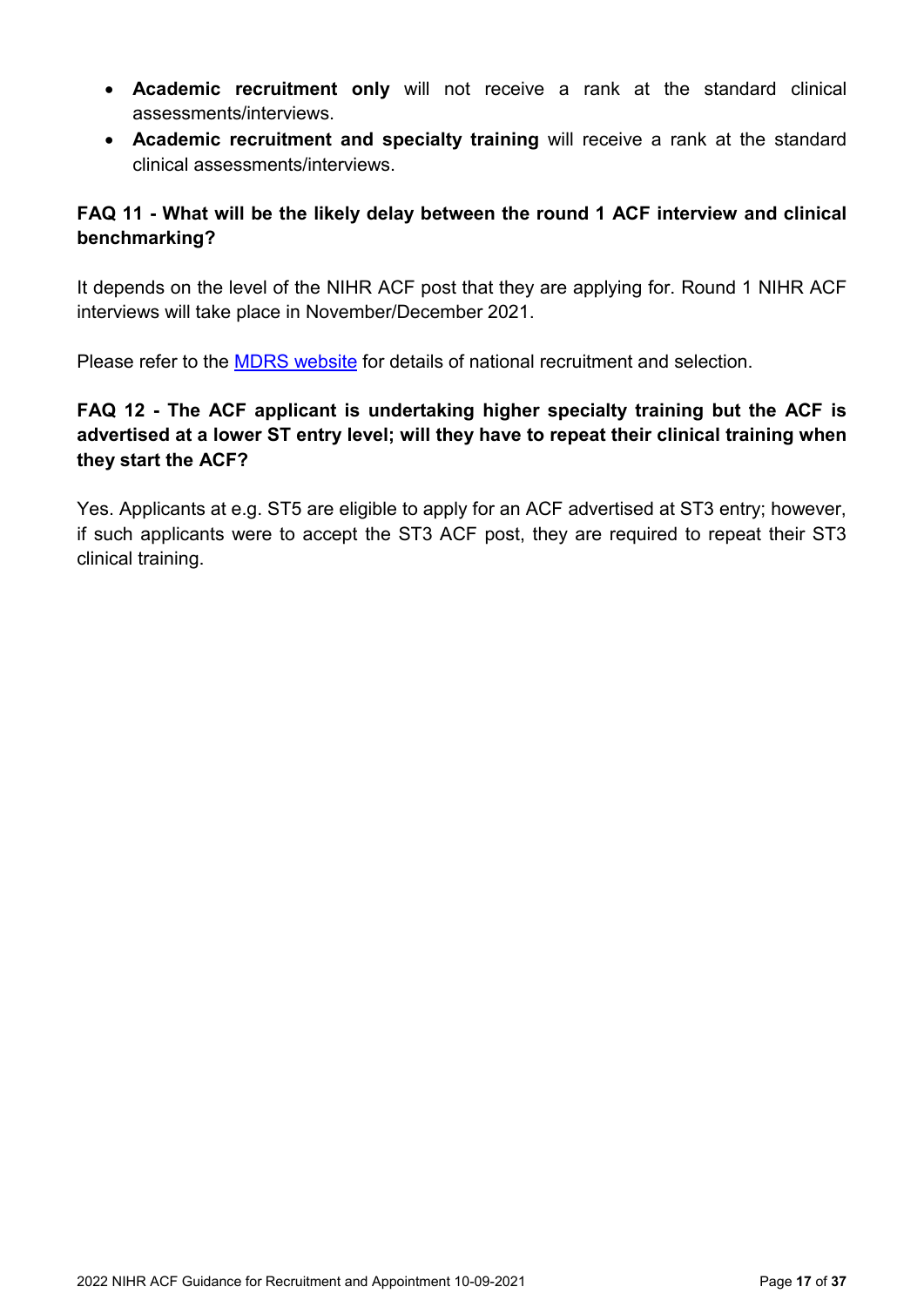- **Academic recruitment only** will not receive a rank at the standard clinical assessments/interviews.
- **Academic recruitment and specialty training** will receive a rank at the standard clinical assessments/interviews.

### **FAQ 11 - What will be the likely delay between the round 1 ACF interview and clinical benchmarking?**

It depends on the level of the NIHR ACF post that they are applying for. Round 1 NIHR ACF interviews will take place in November/December 2021.

Please refer to the [MDRS website](https://specialtytraining.hee.nhs.uk/) for details of national recruitment and selection.

### **FAQ 12 - The ACF applicant is undertaking higher specialty training but the ACF is advertised at a lower ST entry level; will they have to repeat their clinical training when they start the ACF?**

<span id="page-16-0"></span>Yes. Applicants at e.g. ST5 are eligible to apply for an ACF advertised at ST3 entry; however, if such applicants were to accept the ST3 ACF post, they are required to repeat their ST3 clinical training.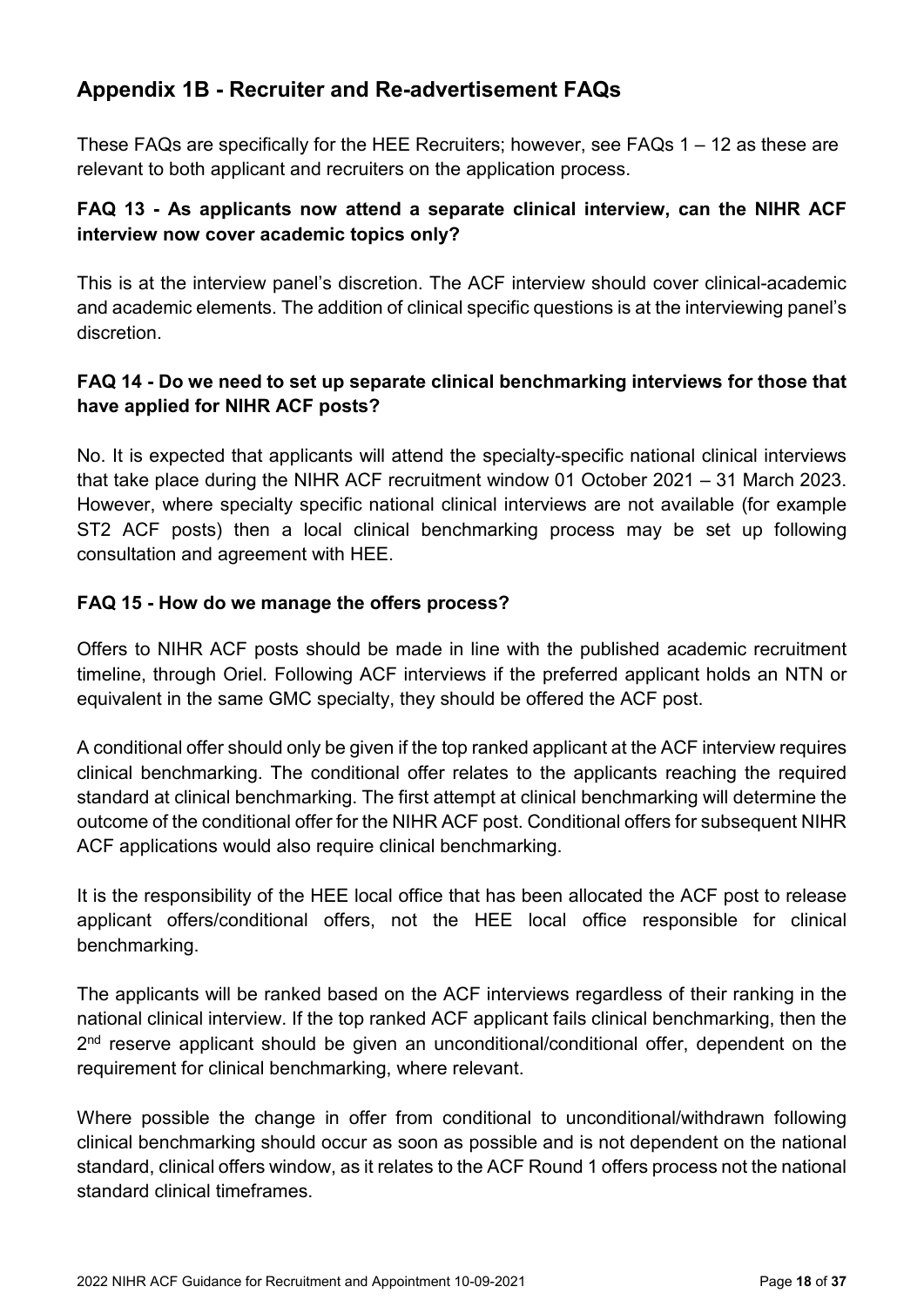### <span id="page-17-0"></span>**Appendix 1B - Recruiter and Re-advertisement FAQs**

These FAQs are specifically for the HEE Recruiters; however, see FAQs 1 – 12 as these are relevant to both applicant and recruiters on the application process.

### **FAQ 13 - As applicants now attend a separate clinical interview, can the NIHR ACF interview now cover academic topics only?**

This is at the interview panel's discretion. The ACF interview should cover clinical-academic and academic elements. The addition of clinical specific questions is at the interviewing panel's discretion.

### **FAQ 14 - Do we need to set up separate clinical benchmarking interviews for those that have applied for NIHR ACF posts?**

No. It is expected that applicants will attend the specialty-specific national clinical interviews that take place during the NIHR ACF recruitment window 01 October 2021 – 31 March 2023. However, where specialty specific national clinical interviews are not available (for example ST2 ACF posts) then a local clinical benchmarking process may be set up following consultation and agreement with HEE.

### **FAQ 15 - How do we manage the offers process?**

Offers to NIHR ACF posts should be made in line with the published academic recruitment timeline, through Oriel. Following ACF interviews if the preferred applicant holds an NTN or equivalent in the same GMC specialty, they should be offered the ACF post.

A conditional offer should only be given if the top ranked applicant at the ACF interview requires clinical benchmarking. The conditional offer relates to the applicants reaching the required standard at clinical benchmarking. The first attempt at clinical benchmarking will determine the outcome of the conditional offer for the NIHR ACF post. Conditional offers for subsequent NIHR ACF applications would also require clinical benchmarking.

It is the responsibility of the HEE local office that has been allocated the ACF post to release applicant offers/conditional offers, not the HEE local office responsible for clinical benchmarking.

The applicants will be ranked based on the ACF interviews regardless of their ranking in the national clinical interview. If the top ranked ACF applicant fails clinical benchmarking, then the  $2<sup>nd</sup>$  reserve applicant should be given an unconditional/conditional offer, dependent on the requirement for clinical benchmarking, where relevant.

Where possible the change in offer from conditional to unconditional/withdrawn following clinical benchmarking should occur as soon as possible and is not dependent on the national standard, clinical offers window, as it relates to the ACF Round 1 offers process not the national standard clinical timeframes.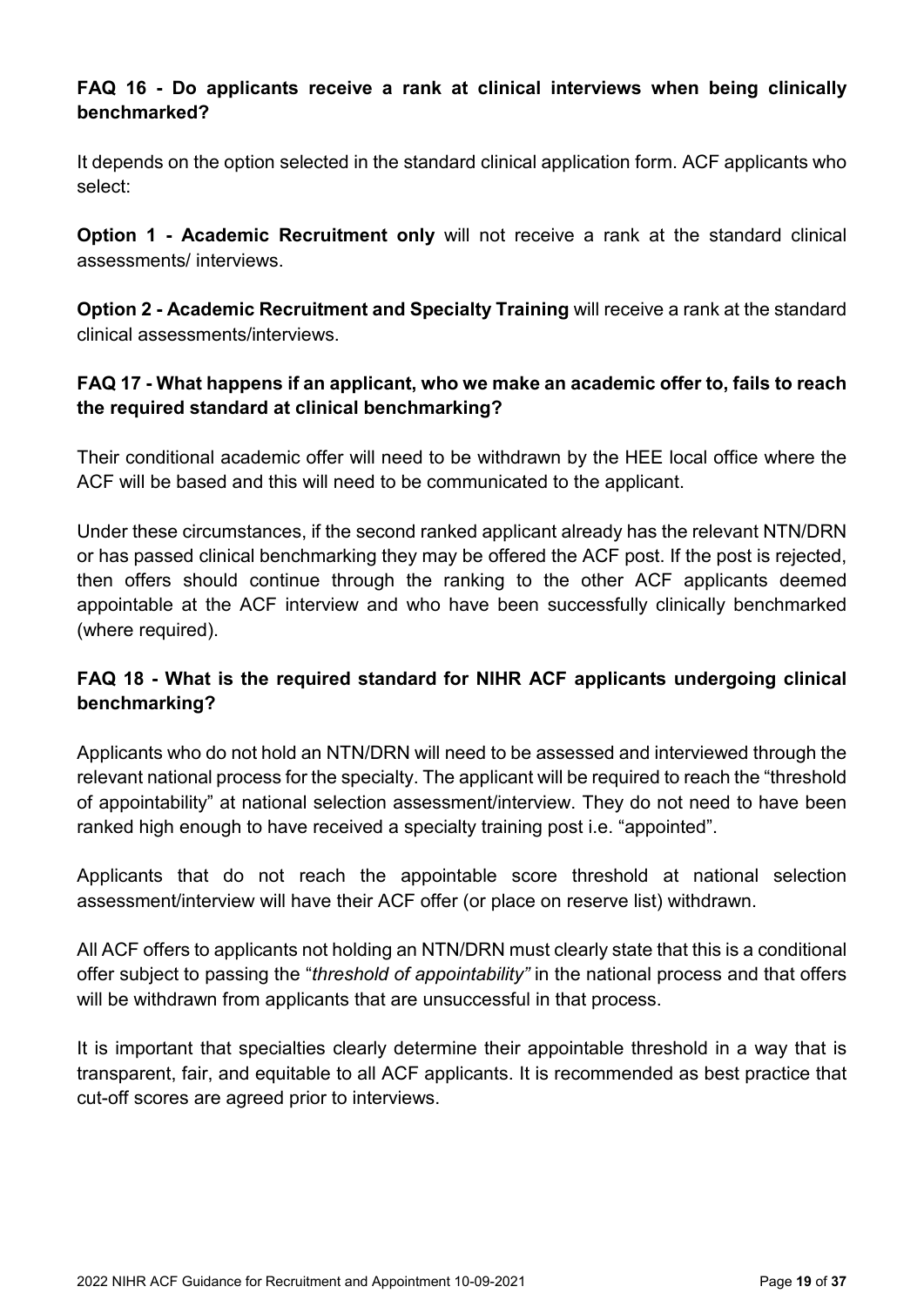### **FAQ 16 - Do applicants receive a rank at clinical interviews when being clinically benchmarked?**

It depends on the option selected in the standard clinical application form. ACF applicants who select:

**Option 1 - Academic Recruitment only** will not receive a rank at the standard clinical assessments/ interviews.

**Option 2 - Academic Recruitment and Specialty Training** will receive a rank at the standard clinical assessments/interviews.

### **FAQ 17 - What happens if an applicant, who we make an academic offer to, fails to reach the required standard at clinical benchmarking?**

Their conditional academic offer will need to be withdrawn by the HEE local office where the ACF will be based and this will need to be communicated to the applicant.

Under these circumstances, if the second ranked applicant already has the relevant NTN/DRN or has passed clinical benchmarking they may be offered the ACF post. If the post is rejected, then offers should continue through the ranking to the other ACF applicants deemed appointable at the ACF interview and who have been successfully clinically benchmarked (where required).

### **FAQ 18 - What is the required standard for NIHR ACF applicants undergoing clinical benchmarking?**

Applicants who do not hold an NTN/DRN will need to be assessed and interviewed through the relevant national process for the specialty. The applicant will be required to reach the "threshold of appointability" at national selection assessment/interview. They do not need to have been ranked high enough to have received a specialty training post i.e. "appointed".

Applicants that do not reach the appointable score threshold at national selection assessment/interview will have their ACF offer (or place on reserve list) withdrawn.

All ACF offers to applicants not holding an NTN/DRN must clearly state that this is a conditional offer subject to passing the "*threshold of appointability"* in the national process and that offers will be withdrawn from applicants that are unsuccessful in that process.

It is important that specialties clearly determine their appointable threshold in a way that is transparent, fair, and equitable to all ACF applicants. It is recommended as best practice that cut-off scores are agreed prior to interviews.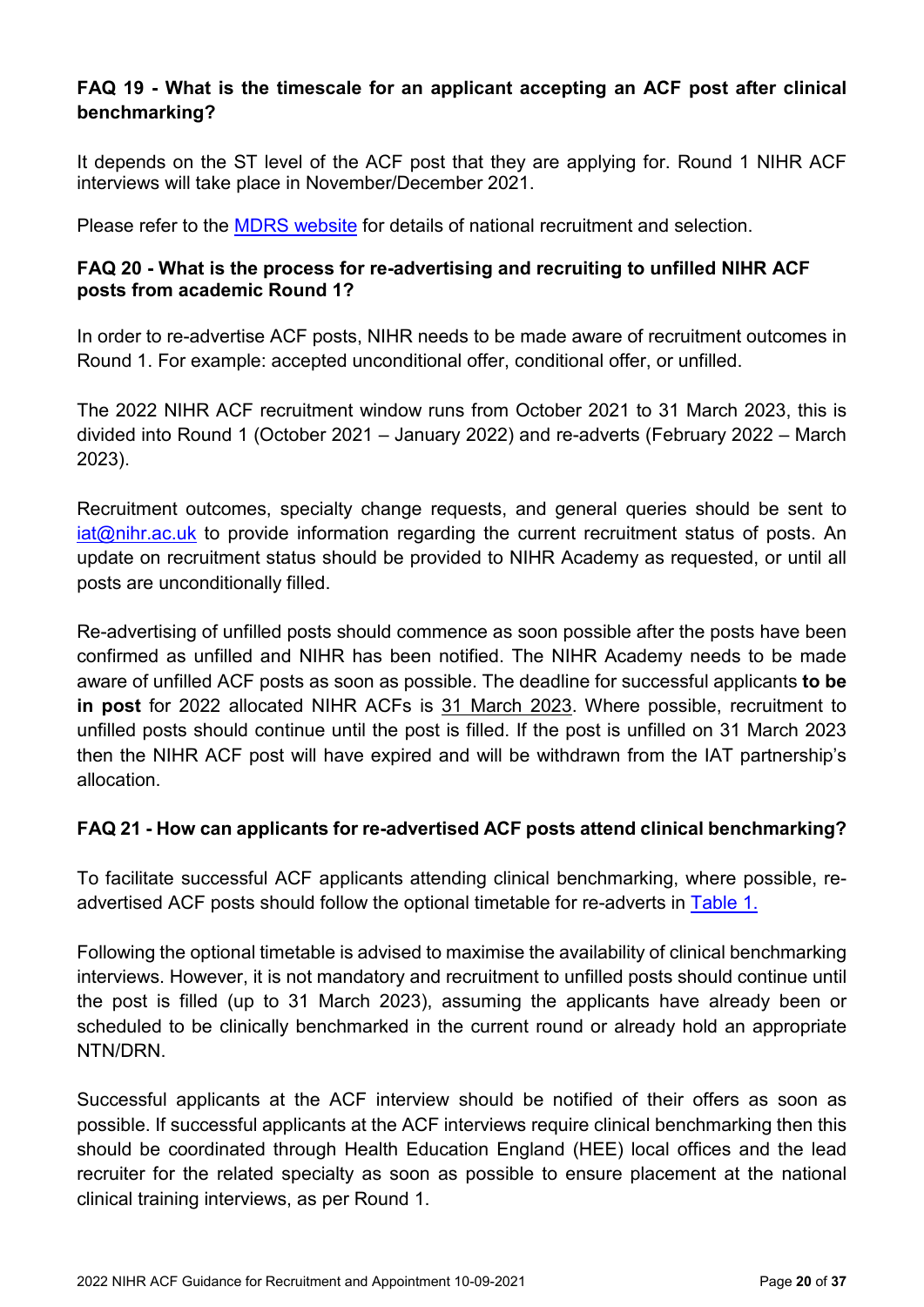### **FAQ 19 - What is the timescale for an applicant accepting an ACF post after clinical benchmarking?**

It depends on the ST level of the ACF post that they are applying for. Round 1 NIHR ACF interviews will take place in November/December 2021.

Please refer to the [MDRS website](https://specialtytraining.hee.nhs.uk/) for details of national recruitment and selection.

#### **FAQ 20 - What is the process for re-advertising and recruiting to unfilled NIHR ACF posts from academic Round 1?**

In order to re-advertise ACF posts, NIHR needs to be made aware of recruitment outcomes in Round 1. For example: accepted unconditional offer, conditional offer, or unfilled.

The 2022 NIHR ACF recruitment window runs from October 2021 to 31 March 2023, this is divided into Round 1 (October 2021 – January 2022) and re-adverts (February 2022 – March 2023).

Recruitment outcomes, specialty change requests, and general queries should be sent to [iat@nihr.ac.uk](mailto:iat@nihr.ac.uk) to provide information regarding the current recruitment status of posts. An update on recruitment status should be provided to NIHR Academy as requested, or until all posts are unconditionally filled.

Re-advertising of unfilled posts should commence as soon possible after the posts have been confirmed as unfilled and NIHR has been notified. The NIHR Academy needs to be made aware of unfilled ACF posts as soon as possible. The deadline for successful applicants **to be in post** for 2022 allocated NIHR ACFs is 31 March 2023. Where possible, recruitment to unfilled posts should continue until the post is filled. If the post is unfilled on 31 March 2023 then the NIHR ACF post will have expired and will be withdrawn from the IAT partnership's allocation.

#### **FAQ 21 - How can applicants for re-advertised ACF posts attend clinical benchmarking?**

To facilitate successful ACF applicants attending clinical benchmarking, where possible, readvertised ACF posts should follow the optional timetable for re-adverts in [Table 1.](#page-2-1)

Following the optional timetable is advised to maximise the availability of clinical benchmarking interviews. However, it is not mandatory and recruitment to unfilled posts should continue until the post is filled (up to 31 March 2023), assuming the applicants have already been or scheduled to be clinically benchmarked in the current round or already hold an appropriate NTN/DRN.

Successful applicants at the ACF interview should be notified of their offers as soon as possible. If successful applicants at the ACF interviews require clinical benchmarking then this should be coordinated through Health Education England (HEE) local offices and the lead recruiter for the related specialty as soon as possible to ensure placement at the national clinical training interviews, as per Round 1.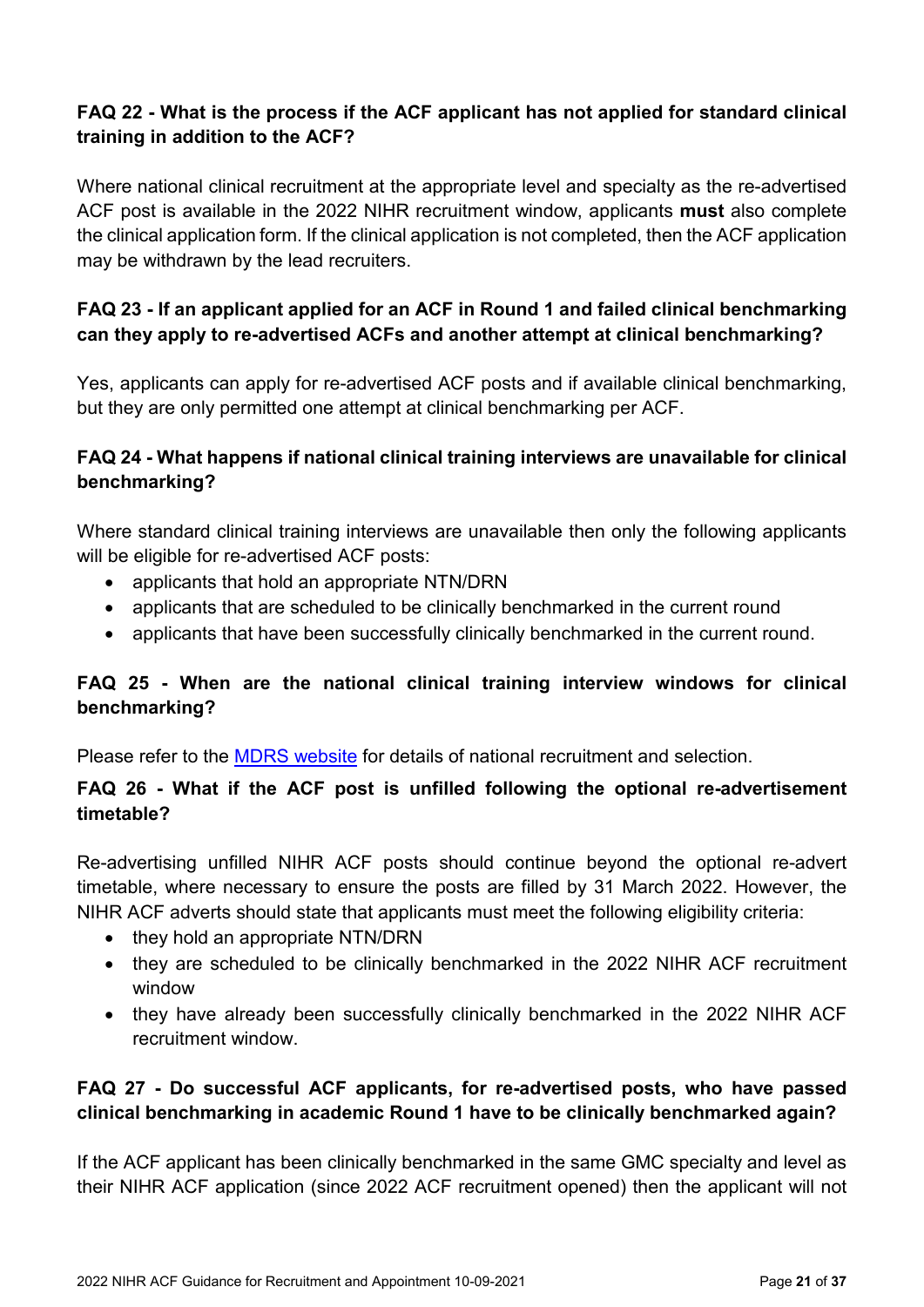### **FAQ 22 - What is the process if the ACF applicant has not applied for standard clinical training in addition to the ACF?**

Where national clinical recruitment at the appropriate level and specialty as the re-advertised ACF post is available in the 2022 NIHR recruitment window, applicants **must** also complete the clinical application form. If the clinical application is not completed, then the ACF application may be withdrawn by the lead recruiters.

### **FAQ 23 - If an applicant applied for an ACF in Round 1 and failed clinical benchmarking can they apply to re-advertised ACFs and another attempt at clinical benchmarking?**

Yes, applicants can apply for re-advertised ACF posts and if available clinical benchmarking, but they are only permitted one attempt at clinical benchmarking per ACF.

### **FAQ 24 - What happens if national clinical training interviews are unavailable for clinical benchmarking?**

Where standard clinical training interviews are unavailable then only the following applicants will be eligible for re-advertised ACF posts:

- applicants that hold an appropriate NTN/DRN
- applicants that are scheduled to be clinically benchmarked in the current round
- applicants that have been successfully clinically benchmarked in the current round.

### **FAQ 25 - When are the national clinical training interview windows for clinical benchmarking?**

Please refer to the [MDRS website](https://specialtytraining.hee.nhs.uk/) for details of national recruitment and selection.

### **FAQ 26 - What if the ACF post is unfilled following the optional re-advertisement timetable?**

Re-advertising unfilled NIHR ACF posts should continue beyond the optional re-advert timetable, where necessary to ensure the posts are filled by 31 March 2022. However, the NIHR ACF adverts should state that applicants must meet the following eligibility criteria:

- they hold an appropriate NTN/DRN
- they are scheduled to be clinically benchmarked in the 2022 NIHR ACF recruitment window
- they have already been successfully clinically benchmarked in the 2022 NIHR ACF recruitment window.

### **FAQ 27 - Do successful ACF applicants, for re-advertised posts, who have passed clinical benchmarking in academic Round 1 have to be clinically benchmarked again?**

If the ACF applicant has been clinically benchmarked in the same GMC specialty and level as their NIHR ACF application (since 2022 ACF recruitment opened) then the applicant will not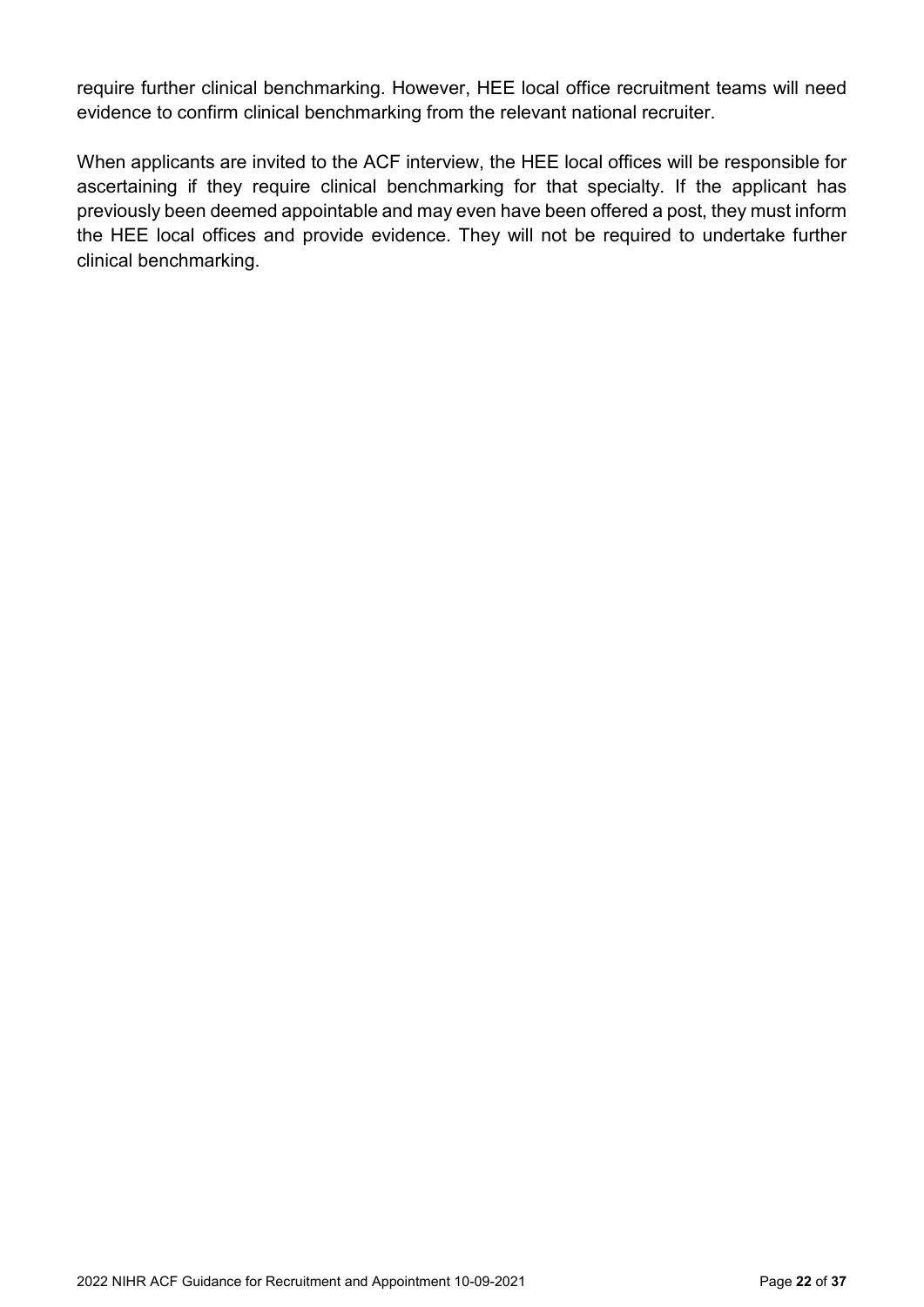require further clinical benchmarking. However, HEE local office recruitment teams will need evidence to confirm clinical benchmarking from the relevant national recruiter.

<span id="page-21-0"></span>When applicants are invited to the ACF interview, the HEE local offices will be responsible for ascertaining if they require clinical benchmarking for that specialty. If the applicant has previously been deemed appointable and may even have been offered a post, they must inform the HEE local offices and provide evidence. They will not be required to undertake further clinical benchmarking.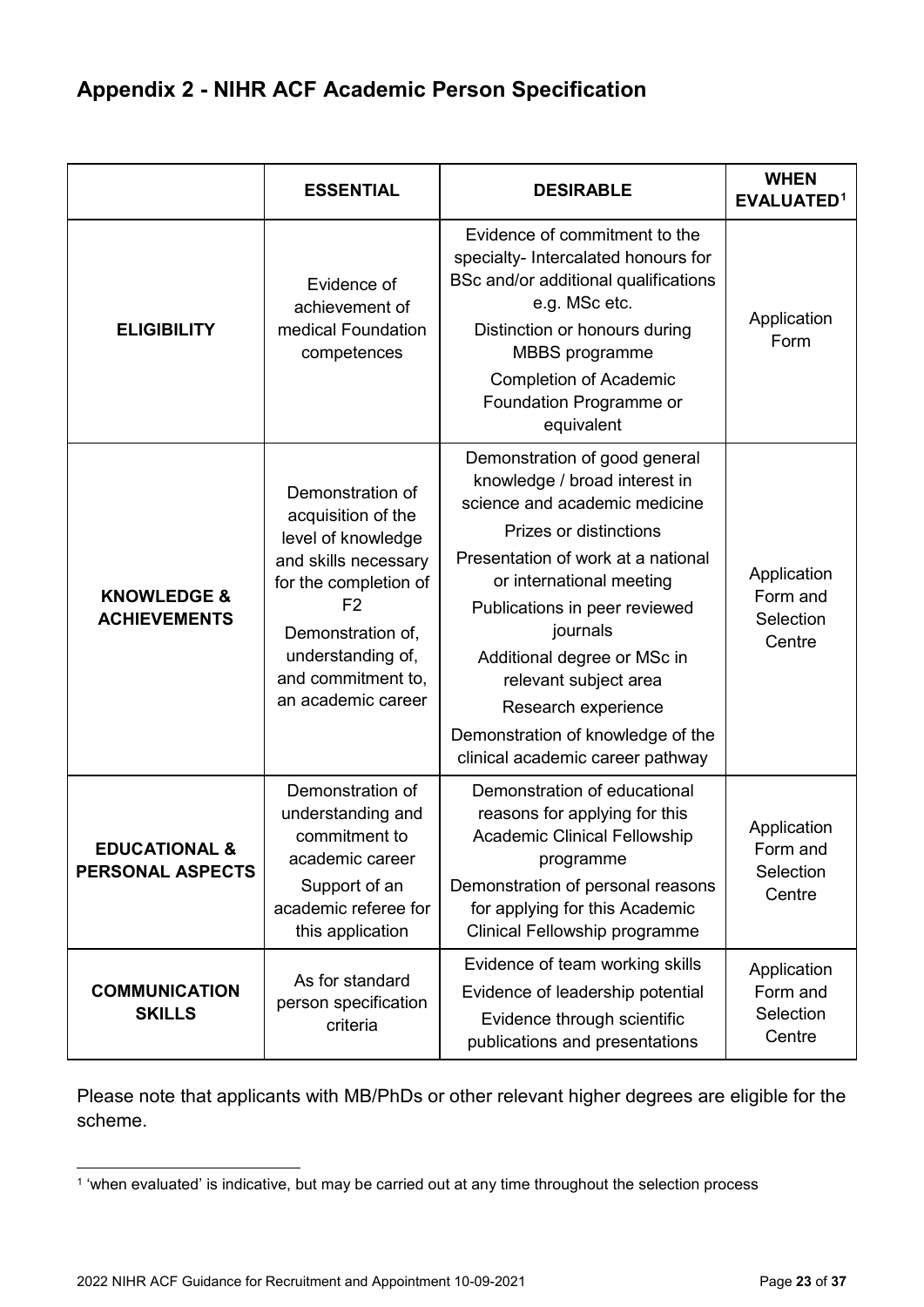### <span id="page-22-0"></span>**Appendix 2 - NIHR ACF Academic Person Specification**

|                                                     | <b>ESSENTIAL</b>                                                                                                                                                                                                      | <b>DESIRABLE</b>                                                                                                                                                                                                                                                                                                                                                                                 | <b>WHEN</b><br><b>EVALUATED1</b>               |
|-----------------------------------------------------|-----------------------------------------------------------------------------------------------------------------------------------------------------------------------------------------------------------------------|--------------------------------------------------------------------------------------------------------------------------------------------------------------------------------------------------------------------------------------------------------------------------------------------------------------------------------------------------------------------------------------------------|------------------------------------------------|
| <b>ELIGIBILITY</b>                                  | Evidence of<br>achievement of<br>medical Foundation<br>competences                                                                                                                                                    | Evidence of commitment to the<br>specialty- Intercalated honours for<br>BSc and/or additional qualifications<br>e.g. MSc etc.<br>Distinction or honours during<br><b>MBBS</b> programme<br><b>Completion of Academic</b><br>Foundation Programme or<br>equivalent                                                                                                                                | Application<br>Form                            |
| <b>KNOWLEDGE &amp;</b><br><b>ACHIEVEMENTS</b>       | Demonstration of<br>acquisition of the<br>level of knowledge<br>and skills necessary<br>for the completion of<br>F <sub>2</sub><br>Demonstration of,<br>understanding of,<br>and commitment to,<br>an academic career | Demonstration of good general<br>knowledge / broad interest in<br>science and academic medicine<br>Prizes or distinctions<br>Presentation of work at a national<br>or international meeting<br>Publications in peer reviewed<br>journals<br>Additional degree or MSc in<br>relevant subject area<br>Research experience<br>Demonstration of knowledge of the<br>clinical academic career pathway | Application<br>Form and<br>Selection<br>Centre |
| <b>EDUCATIONAL &amp;</b><br><b>PERSONAL ASPECTS</b> | Demonstration of<br>understanding and<br>commitment to<br>academic career<br>Support of an<br>academic referee for<br>this application                                                                                | Demonstration of educational<br>reasons for applying for this<br><b>Academic Clinical Fellowship</b><br>programme<br>Demonstration of personal reasons<br>for applying for this Academic<br>Clinical Fellowship programme                                                                                                                                                                        | Application<br>Form and<br>Selection<br>Centre |
| <b>COMMUNICATION</b><br><b>SKILLS</b>               | As for standard<br>person specification<br>criteria                                                                                                                                                                   | Evidence of team working skills<br>Evidence of leadership potential<br>Evidence through scientific<br>publications and presentations                                                                                                                                                                                                                                                             | Application<br>Form and<br>Selection<br>Centre |

Please note that applicants with MB/PhDs or other relevant higher degrees are eligible for the scheme.

<span id="page-22-1"></span> <sup>1</sup> 'when evaluated' is indicative, but may be carried out at any time throughout the selection process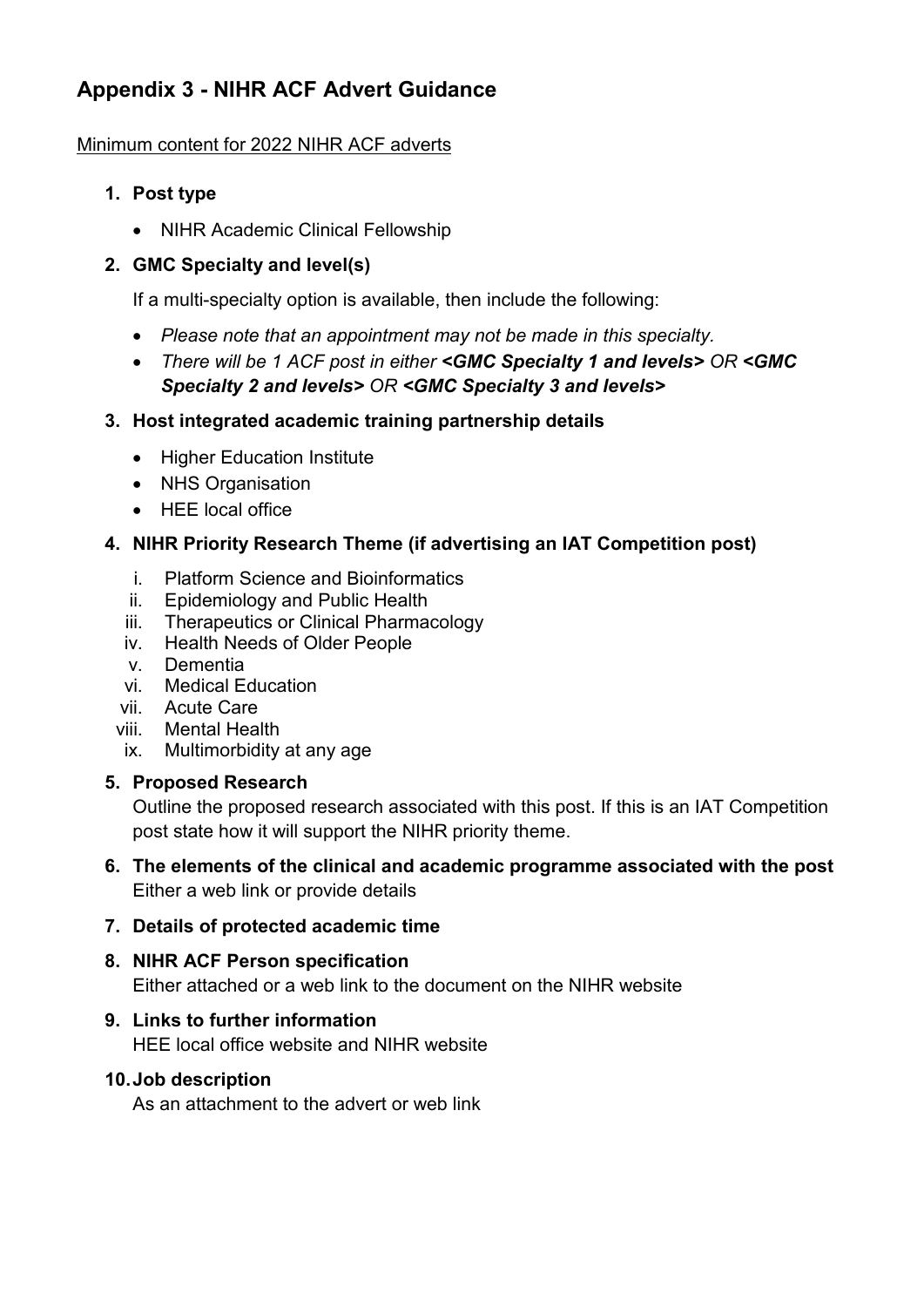### <span id="page-23-0"></span>**Appendix 3 - NIHR ACF Advert Guidance**

### Minimum content for 2022 NIHR ACF adverts

- **1. Post type**
	- NIHR Academic Clinical Fellowship

### **2. GMC Specialty and level(s)**

If a multi-specialty option is available, then include the following:

- *Please note that an appointment may not be made in this specialty.*
- *There will be 1 ACF post in either <GMC Specialty 1 and levels> OR <GMC Specialty 2 and levels> OR <GMC Specialty 3 and levels>*

### **3. Host integrated academic training partnership details**

- Higher Education Institute
- NHS Organisation
- HEE local office

### **4. NIHR Priority Research Theme (if advertising an IAT Competition post)**

- i. Platform Science and Bioinformatics
- ii. Epidemiology and Public Health
- iii. Therapeutics or Clinical Pharmacology
- iv. Health Needs of Older People
- v. Dementia
- vi. Medical Education
- vii. Acute Care
- viii. Mental Health
- ix. Multimorbidity at any age

### **5. Proposed Research**

Outline the proposed research associated with this post. If this is an IAT Competition post state how it will support the NIHR priority theme.

**6. The elements of the clinical and academic programme associated with the post**  Either a web link or provide details

### **7. Details of protected academic time**

### **8. NIHR ACF Person specification** Either attached or a web link to the document on the NIHR website

### **9. Links to further information**

HEE local office website and NIHR website

### **10.Job description**

As an attachment to the advert or web link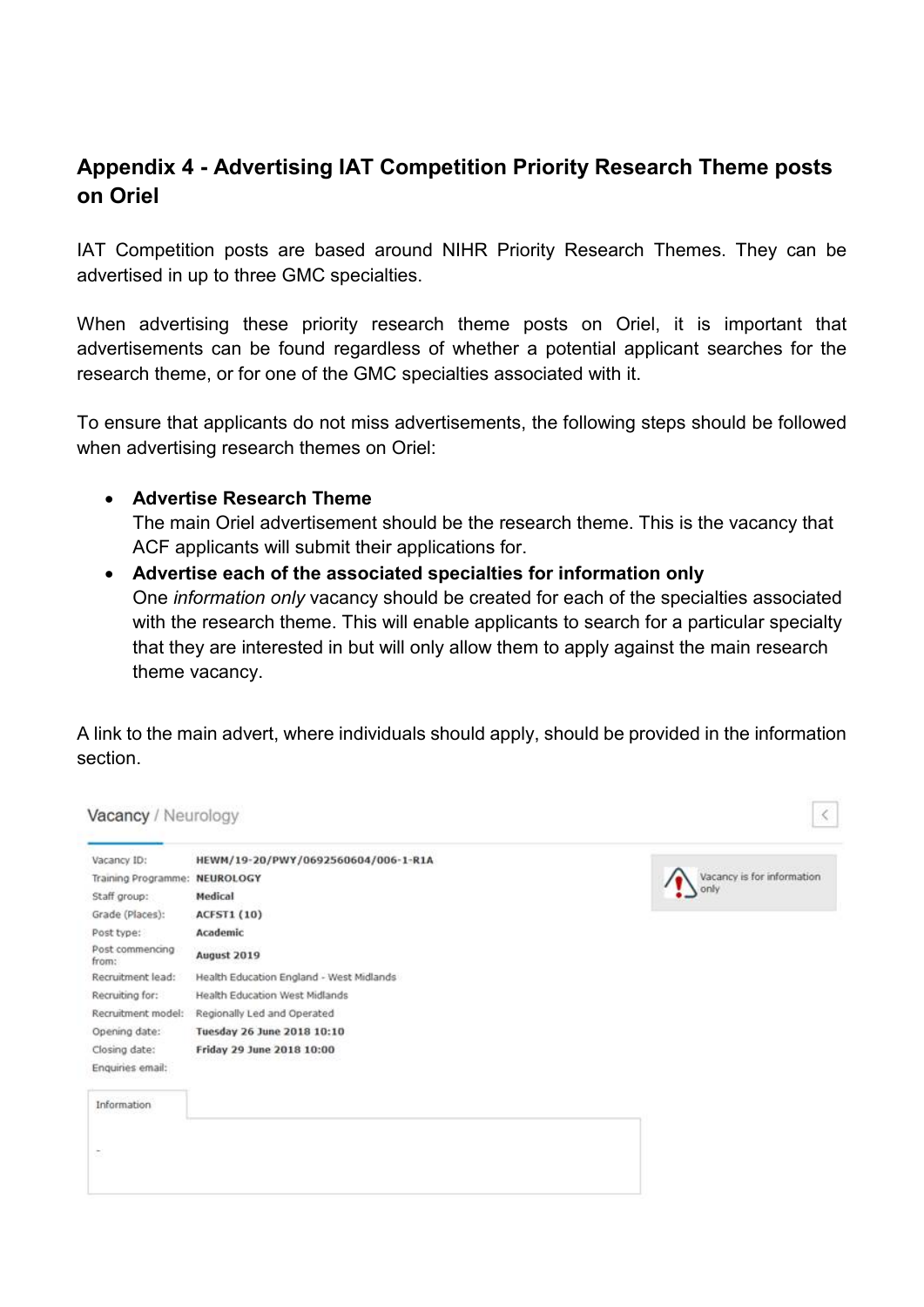### <span id="page-24-0"></span>**Appendix 4 - Advertising IAT Competition Priority Research Theme posts on Oriel**

IAT Competition posts are based around NIHR Priority Research Themes. They can be advertised in up to three GMC specialties.

When advertising these priority research theme posts on Oriel, it is important that advertisements can be found regardless of whether a potential applicant searches for the research theme, or for one of the GMC specialties associated with it.

To ensure that applicants do not miss advertisements, the following steps should be followed when advertising research themes on Oriel:

#### • **Advertise Research Theme**

The main Oriel advertisement should be the research theme. This is the vacancy that ACF applicants will submit their applications for.

• **Advertise each of the associated specialties for information only** One *information only* vacancy should be created for each of the specialties associated with the research theme. This will enable applicants to search for a particular specialty that they are interested in but will only allow them to apply against the main research theme vacancy.

A link to the main advert, where individuals should apply, should be provided in the information section.

| Vacancy ID:                   | HEWM/19-20/PWY/0692560604/006-1-R1A      |                            |
|-------------------------------|------------------------------------------|----------------------------|
| Training Programme: NEUROLOGY |                                          | Vacancy is for information |
| Staff group:                  | Medical                                  | only                       |
| Grade (Places):               | <b>ACFST1 (10)</b>                       |                            |
| Post type:                    | Academic                                 |                            |
| Post commencing<br>from:      | August 2019                              |                            |
| Recruitment lead:             | Health Education England - West Midlands |                            |
| Recruiting for:               | Health Education West Midlands           |                            |
| Recruitment model:            | Regionally Led and Operated              |                            |
| Opening date:                 | Tuesday 26 June 2018 10:10               |                            |
| Closing date:                 | Friday 29 June 2018 10:00                |                            |
| Enquiries email:              |                                          |                            |
| Information                   |                                          |                            |
|                               |                                          |                            |
|                               |                                          |                            |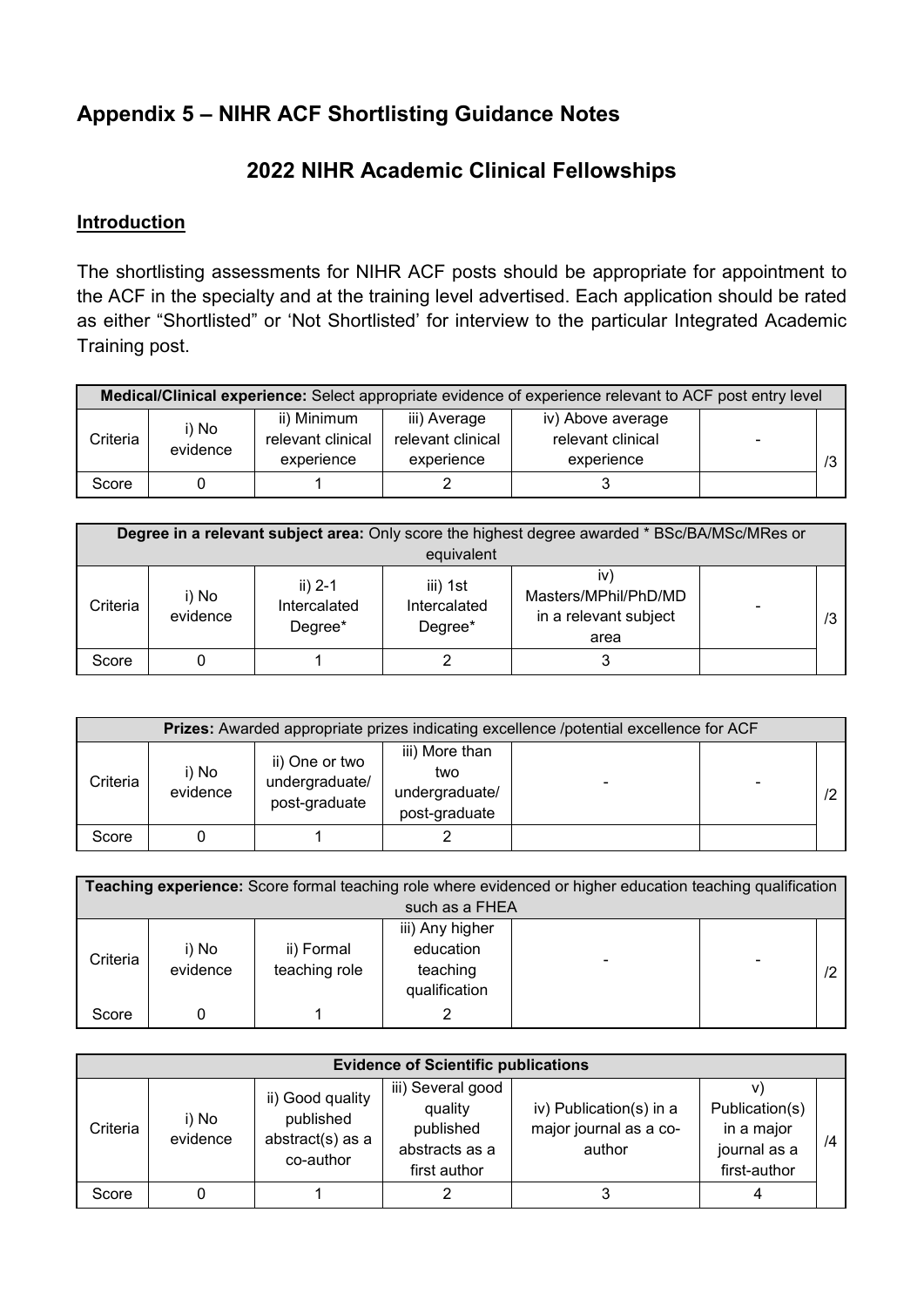### <span id="page-25-0"></span>**Appendix 5 – NIHR ACF Shortlisting Guidance Notes**

### **2022 NIHR Academic Clinical Fellowships**

### **Introduction**

The shortlisting assessments for NIHR ACF posts should be appropriate for appointment to the ACF in the specialty and at the training level advertised. Each application should be rated as either "Shortlisted" or 'Not Shortlisted' for interview to the particular Integrated Academic Training post.

| Medical/Clinical experience: Select appropriate evidence of experience relevant to ACF post entry level |                   |                                                |                                                 |                                                      |                          |  |  |
|---------------------------------------------------------------------------------------------------------|-------------------|------------------------------------------------|-------------------------------------------------|------------------------------------------------------|--------------------------|--|--|
| Criteria                                                                                                | i) No<br>evidence | ii) Minimum<br>relevant clinical<br>experience | iii) Average<br>relevant clinical<br>experience | iv) Above average<br>relevant clinical<br>experience | $\overline{\phantom{0}}$ |  |  |
| Score                                                                                                   |                   |                                                |                                                 |                                                      |                          |  |  |

| <b>Degree in a relevant subject area:</b> Only score the highest degree awarded * BSc/BA/MSc/MRes or<br>equivalent |                   |                                      |                                     |                                                       |  |    |  |
|--------------------------------------------------------------------------------------------------------------------|-------------------|--------------------------------------|-------------------------------------|-------------------------------------------------------|--|----|--|
| Criteria                                                                                                           | i) No<br>evidence | ii) $2-1$<br>Intercalated<br>Degree* | iii) 1st<br>Intercalated<br>Degree* | Masters/MPhil/PhD/MD<br>in a relevant subject<br>area |  | /3 |  |
| Score                                                                                                              |                   |                                      |                                     |                                                       |  |    |  |

| <b>Prizes:</b> Awarded appropriate prizes indicating excellence /potential excellence for ACF |                   |                                                   |                                                          |  |   |  |  |  |
|-----------------------------------------------------------------------------------------------|-------------------|---------------------------------------------------|----------------------------------------------------------|--|---|--|--|--|
| Criteria                                                                                      | i) No<br>evidence | ii) One or two<br>undergraduate/<br>post-graduate | iii) More than<br>two<br>undergraduate/<br>post-graduate |  | - |  |  |  |
| Score                                                                                         |                   |                                                   |                                                          |  |   |  |  |  |

| Teaching experience: Score formal teaching role where evidenced or higher education teaching qualification |                   |                             |                                                           |   |                          |    |  |  |
|------------------------------------------------------------------------------------------------------------|-------------------|-----------------------------|-----------------------------------------------------------|---|--------------------------|----|--|--|
|                                                                                                            | such as a FHEA    |                             |                                                           |   |                          |    |  |  |
| Criteria                                                                                                   | i) No<br>evidence | ii) Formal<br>teaching role | iii) Any higher<br>education<br>teaching<br>qualification | - | $\overline{\phantom{0}}$ | /2 |  |  |
| Score                                                                                                      |                   |                             |                                                           |   |                          |    |  |  |

| <b>Evidence of Scientific publications</b> |                   |                                                                |                                                                             |                                                             |                                                              |    |
|--------------------------------------------|-------------------|----------------------------------------------------------------|-----------------------------------------------------------------------------|-------------------------------------------------------------|--------------------------------------------------------------|----|
| Criteria                                   | i) No<br>evidence | ii) Good quality<br>published<br>abstract(s) as a<br>co-author | iii) Several good<br>quality<br>published<br>abstracts as a<br>first author | iv) Publication(s) in a<br>major journal as a co-<br>author | Publication(s)<br>in a major<br>journal as a<br>first-author | /4 |
| Score                                      |                   |                                                                |                                                                             |                                                             |                                                              |    |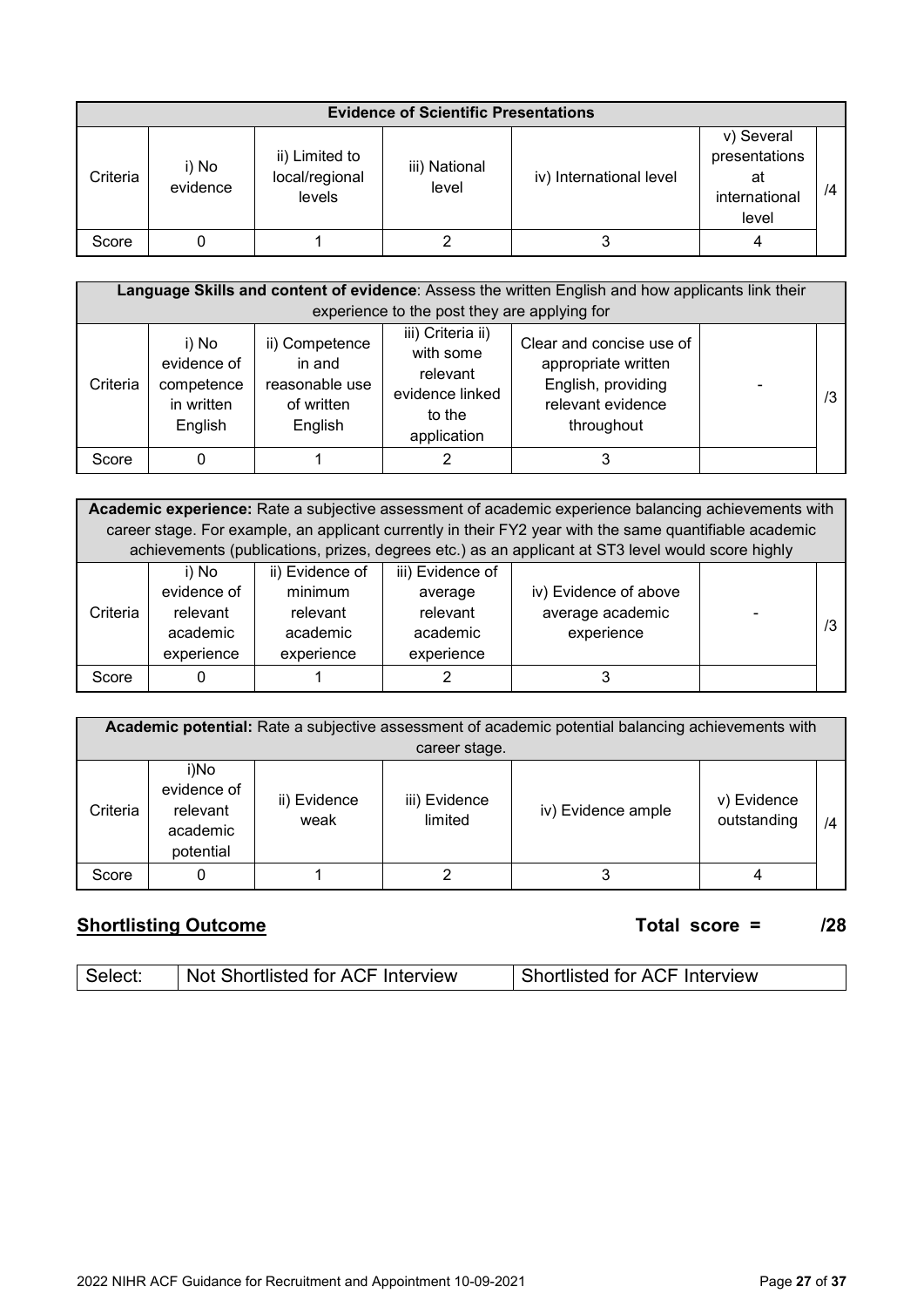|          | <b>Evidence of Scientific Presentations</b> |                                            |                        |                         |                                                             |    |  |
|----------|---------------------------------------------|--------------------------------------------|------------------------|-------------------------|-------------------------------------------------------------|----|--|
| Criteria | i) No<br>evidence                           | ii) Limited to<br>local/regional<br>levels | iii) National<br>level | iv) International level | v) Several<br>presentations<br>at<br>international<br>level | /4 |  |
| Score    |                                             |                                            |                        |                         |                                                             |    |  |

|          | Language Skills and content of evidence: Assess the written English and how applicants link their<br>experience to the post they are applying for |                                                                     |                                                                                        |                                                                                                          |  |    |  |
|----------|---------------------------------------------------------------------------------------------------------------------------------------------------|---------------------------------------------------------------------|----------------------------------------------------------------------------------------|----------------------------------------------------------------------------------------------------------|--|----|--|
| Criteria | i) No<br>evidence of<br>competence<br>in written<br>English                                                                                       | ii) Competence<br>in and<br>reasonable use<br>of written<br>English | iii) Criteria ii)<br>with some<br>relevant<br>evidence linked<br>to the<br>application | Clear and concise use of<br>appropriate written<br>English, providing<br>relevant evidence<br>throughout |  | /3 |  |
| Score    | 0                                                                                                                                                 |                                                                     |                                                                                        |                                                                                                          |  |    |  |

|          | Academic experience: Rate a subjective assessment of academic experience balancing achievements with<br>career stage. For example, an applicant currently in their FY2 year with the same quantifiable academic<br>achievements (publications, prizes, degrees etc.) as an applicant at ST3 level would score highly |                                                                  |                                                                   |                                                         |  |    |  |  |  |
|----------|----------------------------------------------------------------------------------------------------------------------------------------------------------------------------------------------------------------------------------------------------------------------------------------------------------------------|------------------------------------------------------------------|-------------------------------------------------------------------|---------------------------------------------------------|--|----|--|--|--|
| Criteria | i) No<br>evidence of<br>relevant<br>academic<br>experience                                                                                                                                                                                                                                                           | ii) Evidence of<br>minimum<br>relevant<br>academic<br>experience | iii) Evidence of<br>average<br>relevant<br>academic<br>experience | iv) Evidence of above<br>average academic<br>experience |  | /3 |  |  |  |
| Score    |                                                                                                                                                                                                                                                                                                                      |                                                                  |                                                                   |                                                         |  |    |  |  |  |

|          | <b>Academic potential:</b> Rate a subjective assessment of academic potential balancing achievements with |                      |                          |                    |                            |    |  |  |  |  |
|----------|-----------------------------------------------------------------------------------------------------------|----------------------|--------------------------|--------------------|----------------------------|----|--|--|--|--|
|          | career stage.                                                                                             |                      |                          |                    |                            |    |  |  |  |  |
| Criteria | i)No<br>evidence of<br>relevant<br>academic<br>potential                                                  | ii) Evidence<br>weak | iii) Evidence<br>limited | iv) Evidence ample | v) Evidence<br>outstanding | /4 |  |  |  |  |
| Score    |                                                                                                           |                      |                          |                    |                            |    |  |  |  |  |

### **Shortlisting Outcome Total score = /28**

<span id="page-26-0"></span>

| Not Shortlisted for ACF Interview | <b>Shortlisted for ACF Interview</b> |
|-----------------------------------|--------------------------------------|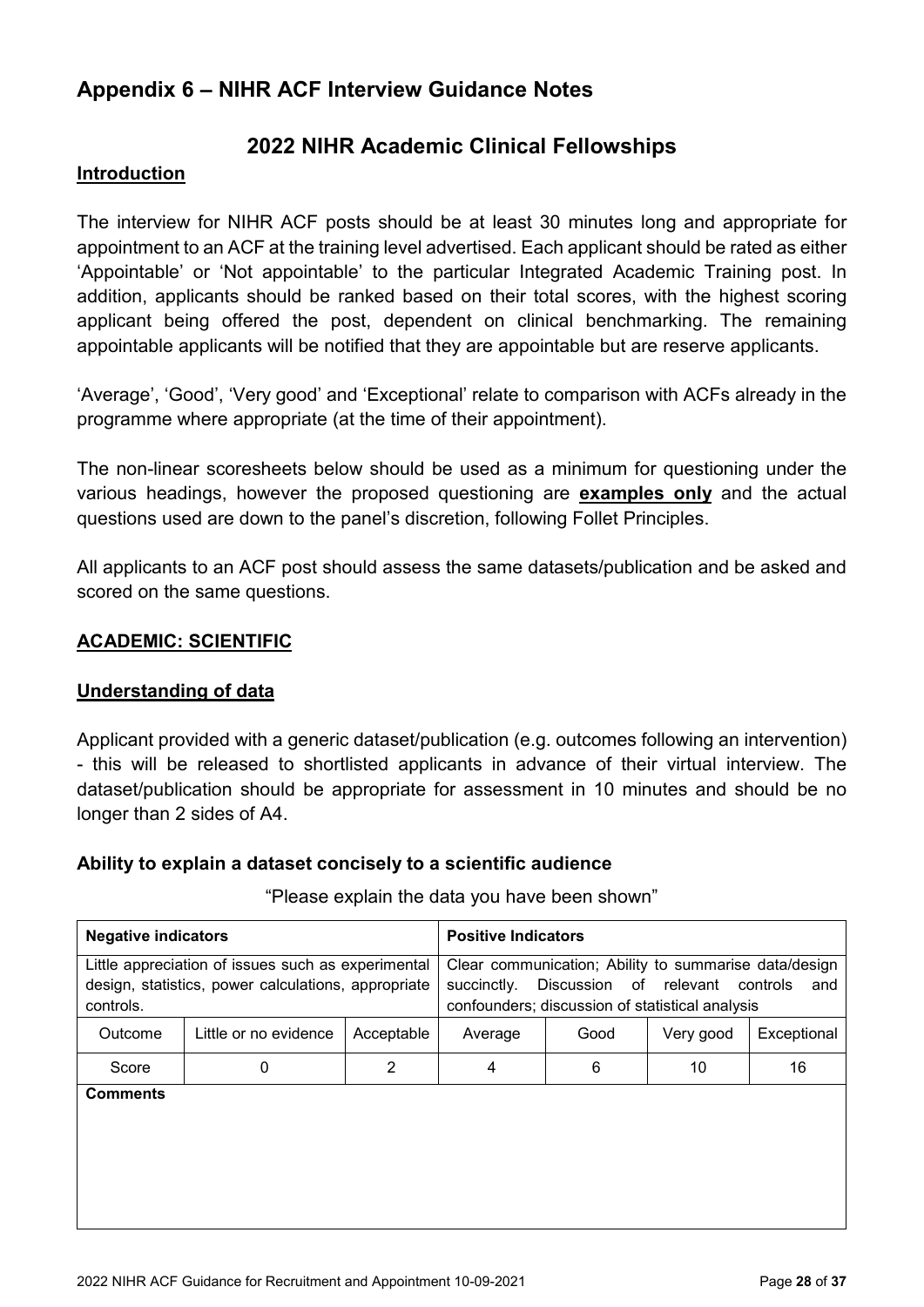### <span id="page-27-0"></span>**Appendix 6 – NIHR ACF Interview Guidance Notes**

### **2022 NIHR Academic Clinical Fellowships**

#### **Introduction**

The interview for NIHR ACF posts should be at least 30 minutes long and appropriate for appointment to an ACF at the training level advertised. Each applicant should be rated as either 'Appointable' or 'Not appointable' to the particular Integrated Academic Training post. In addition, applicants should be ranked based on their total scores, with the highest scoring applicant being offered the post, dependent on clinical benchmarking. The remaining appointable applicants will be notified that they are appointable but are reserve applicants.

'Average', 'Good', 'Very good' and 'Exceptional' relate to comparison with ACFs already in the programme where appropriate (at the time of their appointment).

The non-linear scoresheets below should be used as a minimum for questioning under the various headings, however the proposed questioning are **examples only** and the actual questions used are down to the panel's discretion, following Follet Principles.

All applicants to an ACF post should assess the same datasets/publication and be asked and scored on the same questions.

#### **ACADEMIC: SCIENTIFIC**

#### **Understanding of data**

Applicant provided with a generic dataset/publication (e.g. outcomes following an intervention) - this will be released to shortlisted applicants in advance of their virtual interview. The dataset/publication should be appropriate for assessment in 10 minutes and should be no longer than 2 sides of A4.

#### **Ability to explain a dataset concisely to a scientific audience**

| <b>Negative indicators</b>                                                                                             |                       | <b>Positive Indicators</b> |                                                                                                                         |                        |           |                 |
|------------------------------------------------------------------------------------------------------------------------|-----------------------|----------------------------|-------------------------------------------------------------------------------------------------------------------------|------------------------|-----------|-----------------|
| Little appreciation of issues such as experimental<br>design, statistics, power calculations, appropriate<br>controls. |                       |                            | Clear communication; Ability to summarise data/design<br>succinctly.<br>confounders; discussion of statistical analysis | Discussion of relevant |           | controls<br>and |
| Outcome                                                                                                                | Little or no evidence | Acceptable                 | Average                                                                                                                 | Good                   | Very good | Exceptional     |
| Score                                                                                                                  | 2<br>0                |                            | 4                                                                                                                       | 6                      | 10        | 16              |
| <b>Comments</b>                                                                                                        |                       |                            |                                                                                                                         |                        |           |                 |

#### "Please explain the data you have been shown"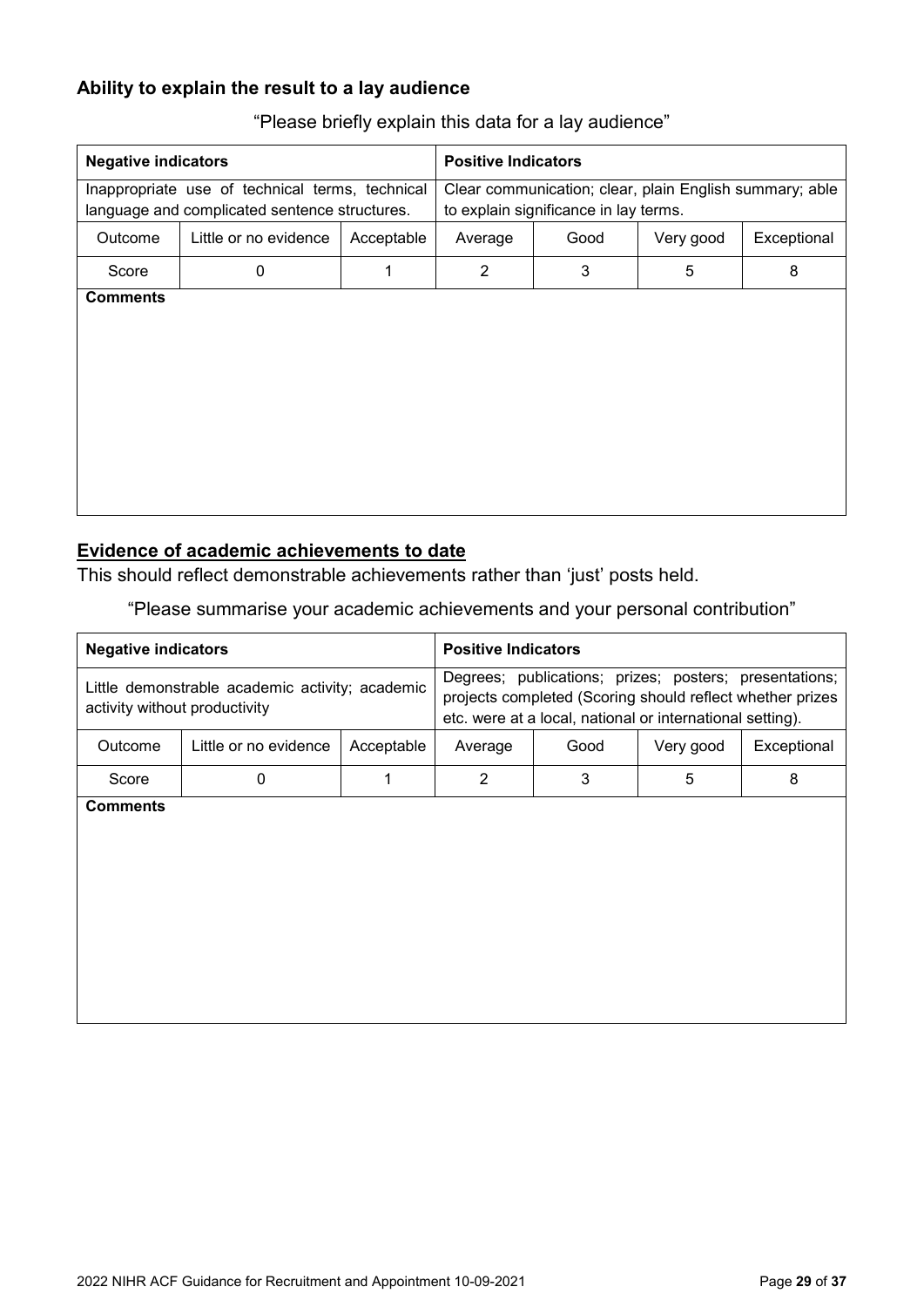### **Ability to explain the result to a lay audience**

| <b>Negative indicators</b>                                                                       |                       |            | <b>Positive Indicators</b>                                                                       |      |           |             |
|--------------------------------------------------------------------------------------------------|-----------------------|------------|--------------------------------------------------------------------------------------------------|------|-----------|-------------|
| Inappropriate use of technical terms, technical<br>language and complicated sentence structures. |                       |            | Clear communication; clear, plain English summary; able<br>to explain significance in lay terms. |      |           |             |
| Outcome                                                                                          | Little or no evidence | Acceptable | Average                                                                                          | Good | Very good | Exceptional |
| Score                                                                                            | 0                     | 1          | $\overline{2}$                                                                                   | 3    | 5         | 8           |
| <b>Comments</b>                                                                                  |                       |            |                                                                                                  |      |           |             |

"Please briefly explain this data for a lay audience"

#### **Evidence of academic achievements to date**

This should reflect demonstrable achievements rather than 'just' posts held.

"Please summarise your academic achievements and your personal contribution"

| <b>Negative indicators</b>                                                       |                       | <b>Positive Indicators</b> |                |      |                                                                                                                                                                                  |             |
|----------------------------------------------------------------------------------|-----------------------|----------------------------|----------------|------|----------------------------------------------------------------------------------------------------------------------------------------------------------------------------------|-------------|
| Little demonstrable academic activity; academic<br>activity without productivity |                       |                            |                |      | Degrees; publications; prizes; posters; presentations;<br>projects completed (Scoring should reflect whether prizes<br>etc. were at a local, national or international setting). |             |
| Outcome                                                                          | Little or no evidence | Acceptable                 | Average        | Good | Very good                                                                                                                                                                        | Exceptional |
| Score                                                                            | $\mathbf 0$           | 1                          | $\overline{2}$ | 3    | 5                                                                                                                                                                                | 8           |
| <b>Comments</b>                                                                  |                       |                            |                |      |                                                                                                                                                                                  |             |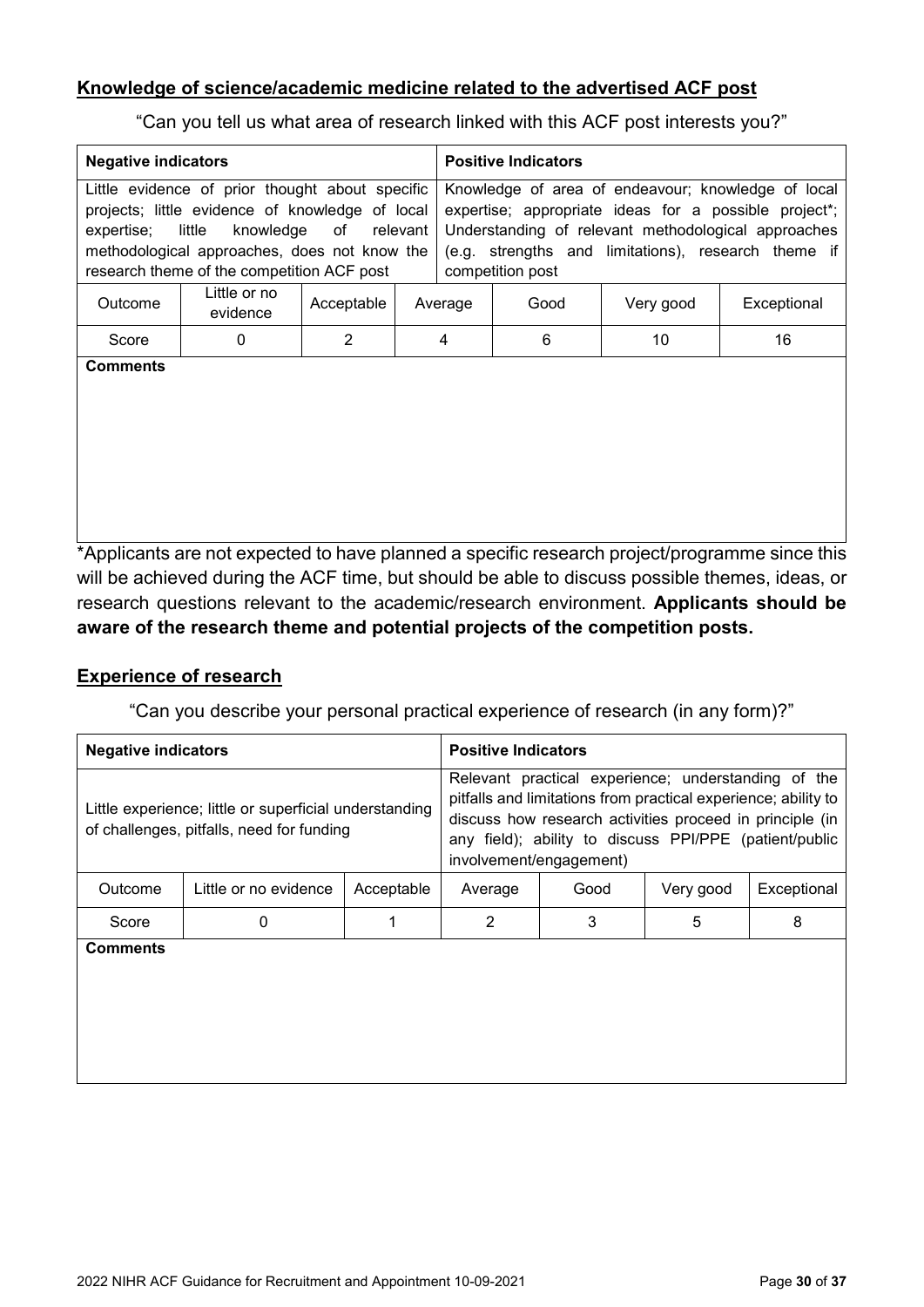#### **Knowledge of science/academic medicine related to the advertised ACF post**

"Can you tell us what area of research linked with this ACF post interests you?"

| <b>Negative indicators</b>                                                                                                                                                                                                                              |   |                |                                                                                                                                                                                                                                               | <b>Positive Indicators</b> |             |    |                                                                                               |
|---------------------------------------------------------------------------------------------------------------------------------------------------------------------------------------------------------------------------------------------------------|---|----------------|-----------------------------------------------------------------------------------------------------------------------------------------------------------------------------------------------------------------------------------------------|----------------------------|-------------|----|-----------------------------------------------------------------------------------------------|
| Little evidence of prior thought about specific<br>projects; little evidence of knowledge of local<br>knowledge<br>little<br>of<br>relevant<br>expertise;<br>methodological approaches, does not know the<br>research theme of the competition ACF post |   |                | Knowledge of area of endeavour; knowledge of local<br>expertise; appropriate ideas for a possible project*;<br>Understanding of relevant methodological approaches<br>(e.g. strengths and limitations), research theme if<br>competition post |                            |             |    |                                                                                               |
| Little or no<br>Acceptable<br>Outcome<br>evidence                                                                                                                                                                                                       |   | Average        | Good                                                                                                                                                                                                                                          | Very good                  | Exceptional |    |                                                                                               |
| Score                                                                                                                                                                                                                                                   | 0 | $\overline{2}$ |                                                                                                                                                                                                                                               | 4                          | 6           | 10 | 16                                                                                            |
| <b>Comments</b>                                                                                                                                                                                                                                         |   |                |                                                                                                                                                                                                                                               |                            |             |    | *Applicants are not expected to have planned a specific research project/programme since this |

will be achieved during the ACF time, but should be able to discuss possible themes, ideas, or research questions relevant to the academic/research environment. **Applicants should be aware of the research theme and potential projects of the competition posts.**

#### **Experience of research**

"Can you describe your personal practical experience of research (in any form)?"

| <b>Negative indicators</b>                                                                          |                       | <b>Positive Indicators</b> |                         |                                                                                                                                                                                                                                             |           |             |
|-----------------------------------------------------------------------------------------------------|-----------------------|----------------------------|-------------------------|---------------------------------------------------------------------------------------------------------------------------------------------------------------------------------------------------------------------------------------------|-----------|-------------|
| Little experience; little or superficial understanding<br>of challenges, pitfalls, need for funding |                       |                            | involvement/engagement) | Relevant practical experience; understanding of the<br>pitfalls and limitations from practical experience; ability to<br>discuss how research activities proceed in principle (in<br>any field); ability to discuss PPI/PPE (patient/public |           |             |
| Outcome                                                                                             | Little or no evidence | Acceptable                 | Average                 | Good                                                                                                                                                                                                                                        | Very good | Exceptional |
| Score                                                                                               | 0                     |                            | 2                       | 3                                                                                                                                                                                                                                           | 5         | 8           |
| Comments                                                                                            |                       |                            |                         |                                                                                                                                                                                                                                             |           |             |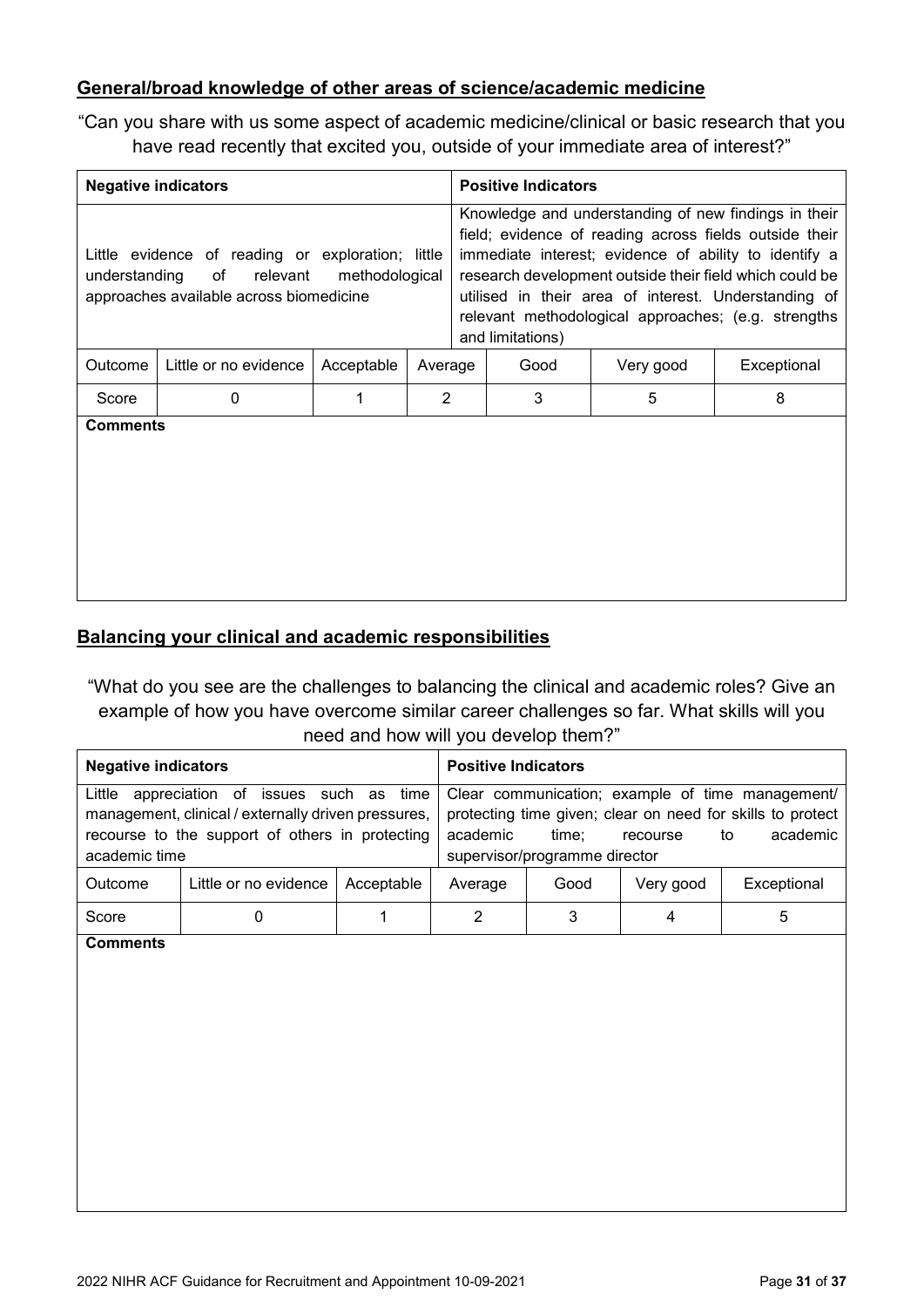#### **General/broad knowledge of other areas of science/academic medicine**

"Can you share with us some aspect of academic medicine/clinical or basic research that you have read recently that excited you, outside of your immediate area of interest?"

| <b>Negative indicators</b>                                                                                                                     |                       |            |                                                                                                                                                                                                                                                                                                                                                                       |  | <b>Positive Indicators</b> |           |             |  |
|------------------------------------------------------------------------------------------------------------------------------------------------|-----------------------|------------|-----------------------------------------------------------------------------------------------------------------------------------------------------------------------------------------------------------------------------------------------------------------------------------------------------------------------------------------------------------------------|--|----------------------------|-----------|-------------|--|
| Little evidence of reading or exploration; little<br>of relevant<br>understanding<br>methodological<br>approaches available across biomedicine |                       |            | Knowledge and understanding of new findings in their<br>field; evidence of reading across fields outside their<br>immediate interest; evidence of ability to identify a<br>research development outside their field which could be<br>utilised in their area of interest. Understanding of<br>relevant methodological approaches; (e.g. strengths<br>and limitations) |  |                            |           |             |  |
| Outcome                                                                                                                                        | Little or no evidence | Acceptable | Average                                                                                                                                                                                                                                                                                                                                                               |  | Good                       | Very good | Exceptional |  |
| Score                                                                                                                                          | 0                     | 1          | $\mathcal{P}$                                                                                                                                                                                                                                                                                                                                                         |  | 3                          | 5         | 8           |  |
| <b>Comments</b>                                                                                                                                |                       |            |                                                                                                                                                                                                                                                                                                                                                                       |  |                            |           |             |  |

#### **Balancing your clinical and academic responsibilities**

"What do you see are the challenges to balancing the clinical and academic roles? Give an example of how you have overcome similar career challenges so far. What skills will you

#### need and how will you develop them?"

| <b>Negative indicators</b>                                                                                                                                                  |  | <b>Positive Indicators</b> |          |                                                                                                                                                                                        |             |   |  |
|-----------------------------------------------------------------------------------------------------------------------------------------------------------------------------|--|----------------------------|----------|----------------------------------------------------------------------------------------------------------------------------------------------------------------------------------------|-------------|---|--|
| Little<br>appreciation of issues such as<br>time<br>management, clinical / externally driven pressures,<br>recourse to the support of others in protecting<br>academic time |  |                            | academic | Clear communication; example of time management/<br>protecting time given; clear on need for skills to protect<br>academic<br>time:<br>recourse<br>to<br>supervisor/programme director |             |   |  |
| Little or no evidence<br>Acceptable<br>Outcome                                                                                                                              |  | Average                    | Good     | Very good                                                                                                                                                                              | Exceptional |   |  |
| Score<br>$\bullet$                                                                                                                                                          |  |                            | ◠        | 3                                                                                                                                                                                      | 4           | 5 |  |

**Comments**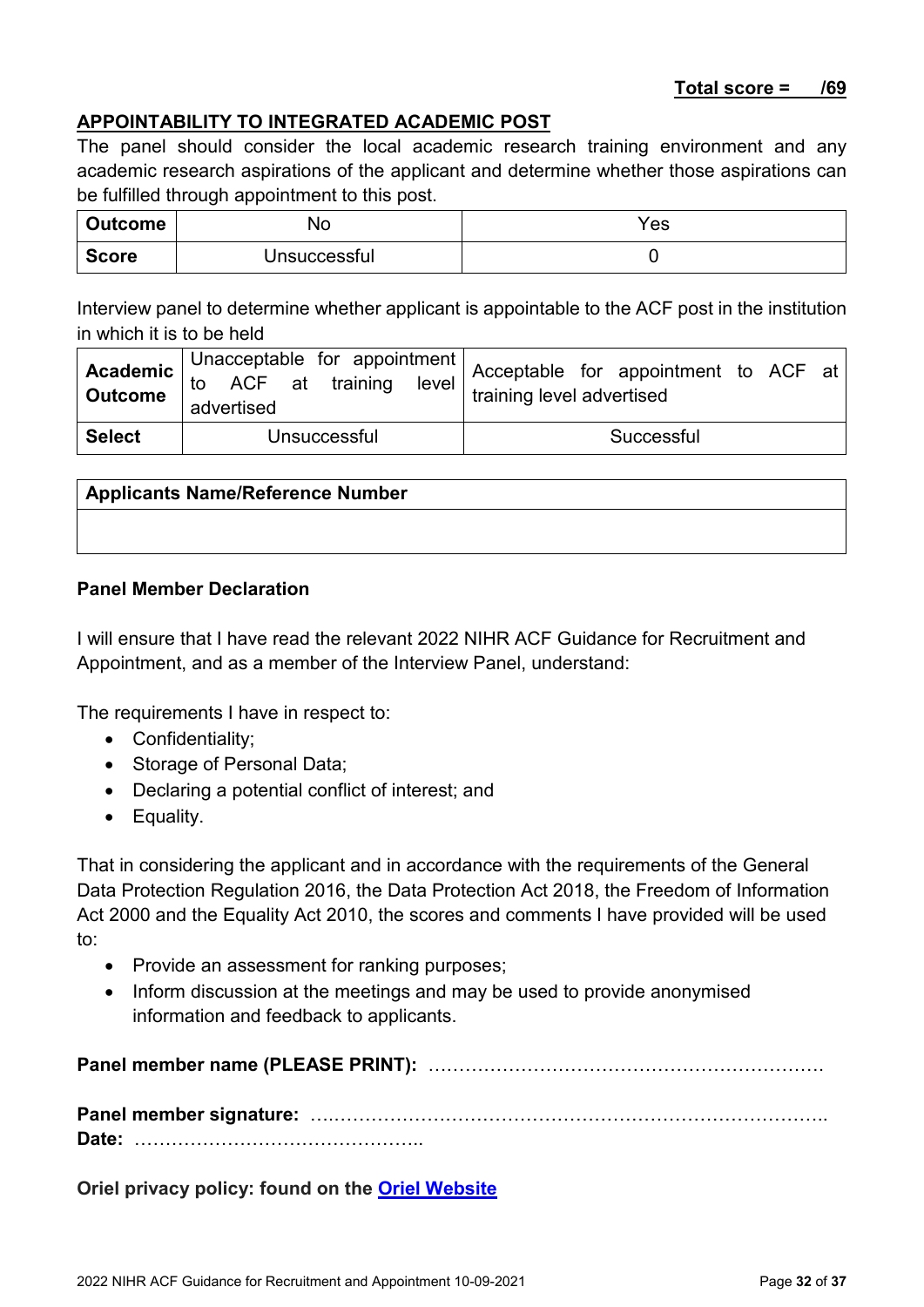#### **APPOINTABILITY TO INTEGRATED ACADEMIC POST**

The panel should consider the local academic research training environment and any academic research aspirations of the applicant and determine whether those aspirations can be fulfilled through appointment to this post.

| <b>Outcome</b> | NO.          | Yes |
|----------------|--------------|-----|
| <b>Score</b>   | Jnsuccessful |     |

Interview panel to determine whether applicant is appointable to the ACF post in the institution in which it is to be held

|               | advertised   | <b>Academic</b> Unacceptable for appointment<br><b>Academic</b> to ACF at training level $\left  \begin{array}{cccc} \text{Acceptable} & \text{for} & \text{appointment} \\ \text{Outcome} & \text{otherwise} & \text{training level} \end{array} \right $ |
|---------------|--------------|------------------------------------------------------------------------------------------------------------------------------------------------------------------------------------------------------------------------------------------------------------|
| <b>Select</b> | Unsuccessful | Successful                                                                                                                                                                                                                                                 |

#### **Applicants Name/Reference Number**

#### **Panel Member Declaration**

I will ensure that I have read the relevant 2022 NIHR ACF Guidance for Recruitment and Appointment, and as a member of the Interview Panel, understand:

The requirements I have in respect to:

- Confidentiality;
- Storage of Personal Data;
- Declaring a potential conflict of interest; and
- Equality.

That in considering the applicant and in accordance with the requirements of the General Data Protection Regulation 2016, the Data Protection Act 2018, the Freedom of Information Act 2000 and the Equality Act 2010, the scores and comments I have provided will be used to:

- Provide an assessment for ranking purposes;
- Inform discussion at the meetings and may be used to provide anonymised information and feedback to applicants.

**Panel member name (PLEASE PRINT):** ……………………………………………………….

**Panel member signature:** ….…………………………………………………………………….. **Date:** ………………………………………..

**Oriel privacy policy: found on the [Oriel Website](https://www.oriel.nhs.uk/Web)**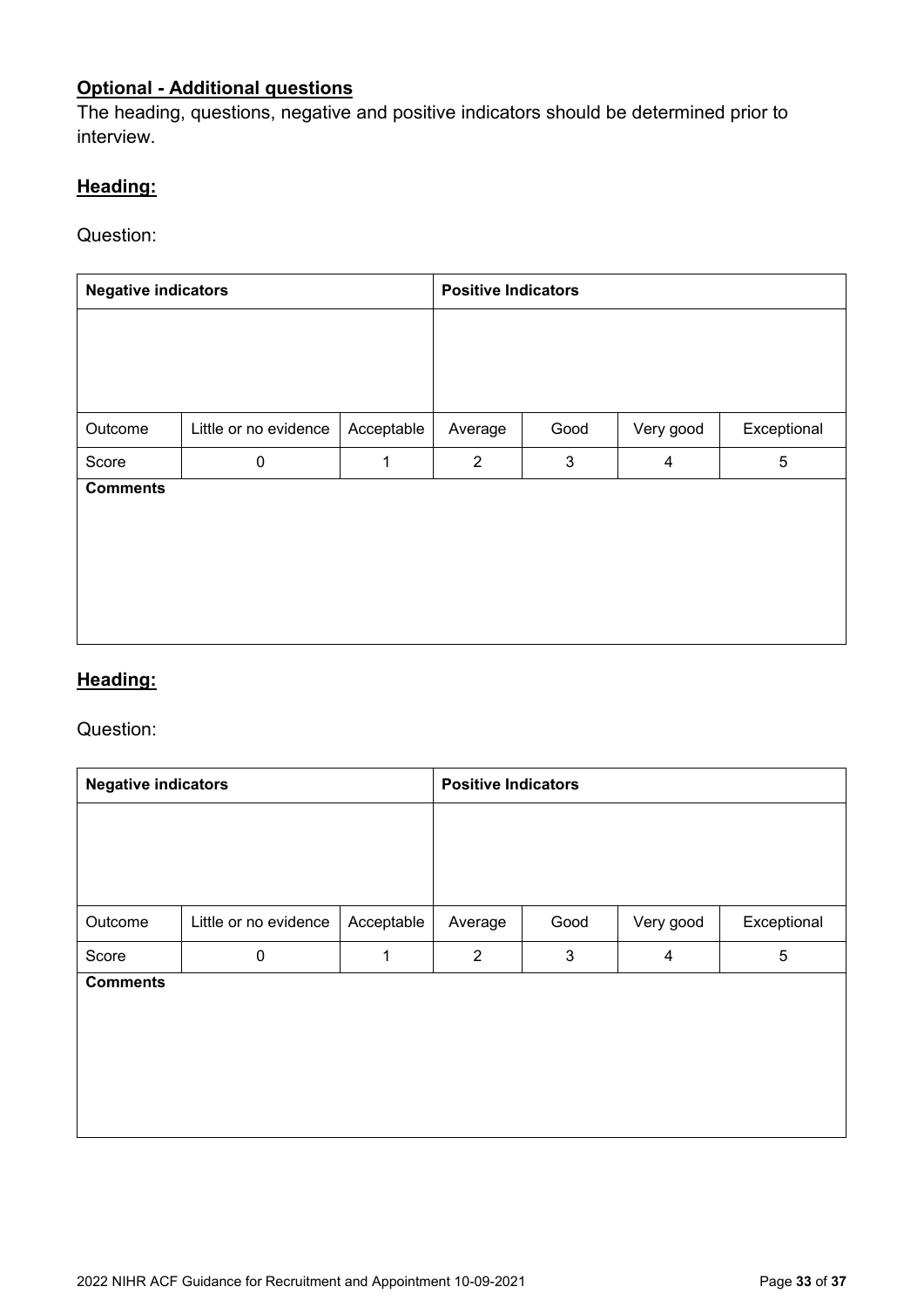### **Optional - Additional questions**

The heading, questions, negative and positive indicators should be determined prior to interview.

### **Heading:**

Question:

| <b>Negative indicators</b> |                       |            | <b>Positive Indicators</b> |      |           |             |
|----------------------------|-----------------------|------------|----------------------------|------|-----------|-------------|
|                            |                       |            |                            |      |           |             |
|                            |                       |            |                            |      |           |             |
| Outcome                    | Little or no evidence | Acceptable | Average                    | Good | Very good | Exceptional |
| Score                      | $\mathbf 0$           | 1          | $\overline{2}$             | 3    | 4         | 5           |
| <b>Comments</b>            |                       |            |                            |      |           |             |
|                            |                       |            |                            |      |           |             |
|                            |                       |            |                            |      |           |             |
|                            |                       |            |                            |      |           |             |
|                            |                       |            |                            |      |           |             |

### **Heading:**

#### Question:

| <b>Negative indicators</b> |                       |              | <b>Positive Indicators</b> |      |           |             |
|----------------------------|-----------------------|--------------|----------------------------|------|-----------|-------------|
|                            |                       |              |                            |      |           |             |
|                            |                       |              |                            |      |           |             |
| Outcome                    | Little or no evidence | Acceptable   | Average                    | Good | Very good | Exceptional |
| Score                      | $\boldsymbol{0}$      | $\mathbf{1}$ | $\overline{2}$             | 3    | 4         | 5           |
| <b>Comments</b>            |                       |              |                            |      |           |             |
|                            |                       |              |                            |      |           |             |
|                            |                       |              |                            |      |           |             |
|                            |                       |              |                            |      |           |             |
|                            |                       |              |                            |      |           |             |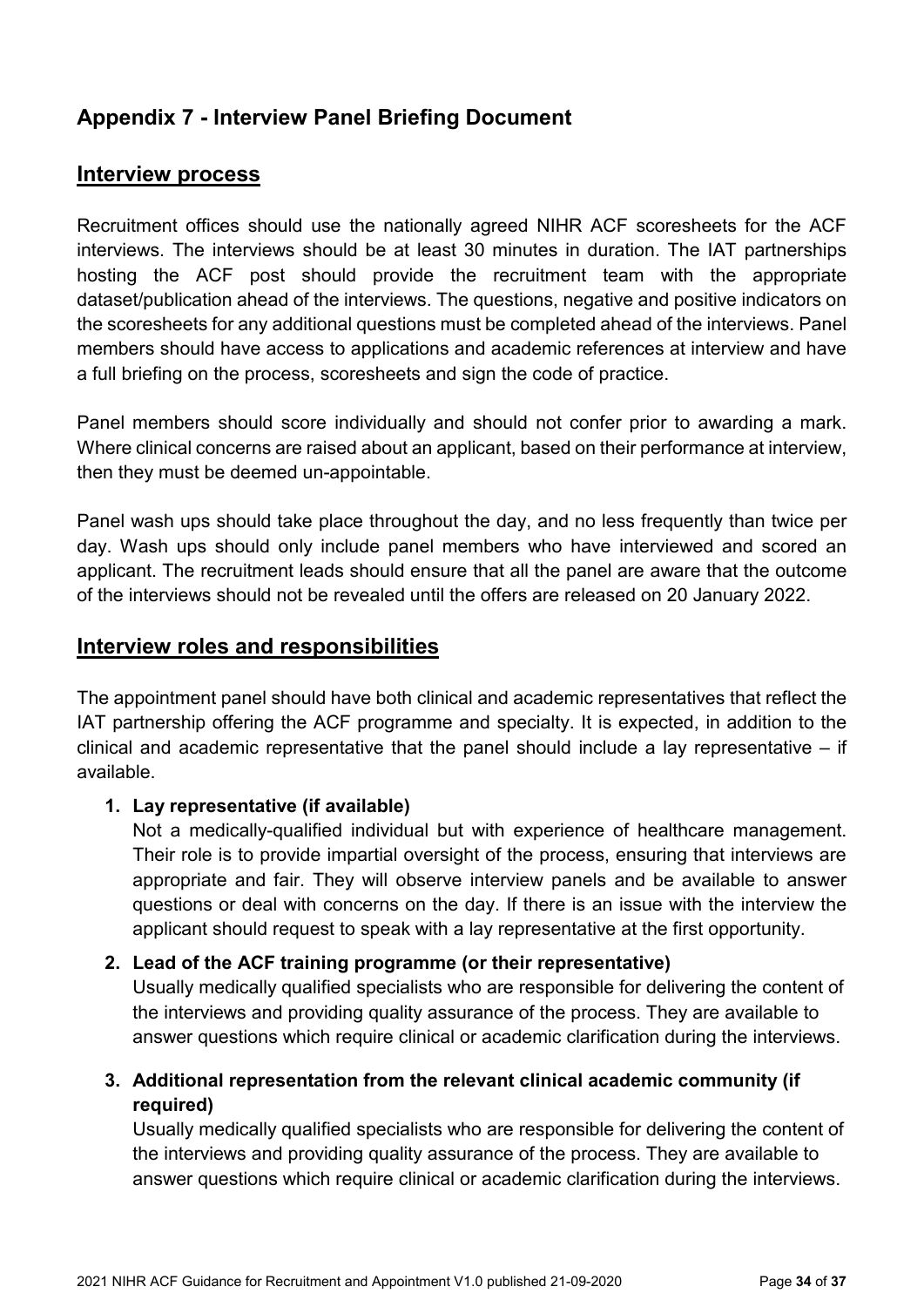### <span id="page-33-0"></span>**Appendix 7 - Interview Panel Briefing Document**

### **Interview process**

Recruitment offices should use the nationally agreed NIHR ACF scoresheets for the ACF interviews. The interviews should be at least 30 minutes in duration. The IAT partnerships hosting the ACF post should provide the recruitment team with the appropriate dataset/publication ahead of the interviews. The questions, negative and positive indicators on the scoresheets for any additional questions must be completed ahead of the interviews. Panel members should have access to applications and academic references at interview and have a full briefing on the process, scoresheets and sign the code of practice.

Panel members should score individually and should not confer prior to awarding a mark. Where clinical concerns are raised about an applicant, based on their performance at interview, then they must be deemed un-appointable.

Panel wash ups should take place throughout the day, and no less frequently than twice per day. Wash ups should only include panel members who have interviewed and scored an applicant. The recruitment leads should ensure that all the panel are aware that the outcome of the interviews should not be revealed until the offers are released on 20 January 2022.

### **Interview roles and responsibilities**

The appointment panel should have both clinical and academic representatives that reflect the IAT partnership offering the ACF programme and specialty. It is expected, in addition to the clinical and academic representative that the panel should include a lay representative – if available.

#### **1. Lay representative (if available)**

Not a medically-qualified individual but with experience of healthcare management. Their role is to provide impartial oversight of the process, ensuring that interviews are appropriate and fair. They will observe interview panels and be available to answer questions or deal with concerns on the day. If there is an issue with the interview the applicant should request to speak with a lay representative at the first opportunity.

#### **2. Lead of the ACF training programme (or their representative)**

Usually medically qualified specialists who are responsible for delivering the content of the interviews and providing quality assurance of the process. They are available to answer questions which require clinical or academic clarification during the interviews.

### **3. Additional representation from the relevant clinical academic community (if required)**

Usually medically qualified specialists who are responsible for delivering the content of the interviews and providing quality assurance of the process. They are available to answer questions which require clinical or academic clarification during the interviews.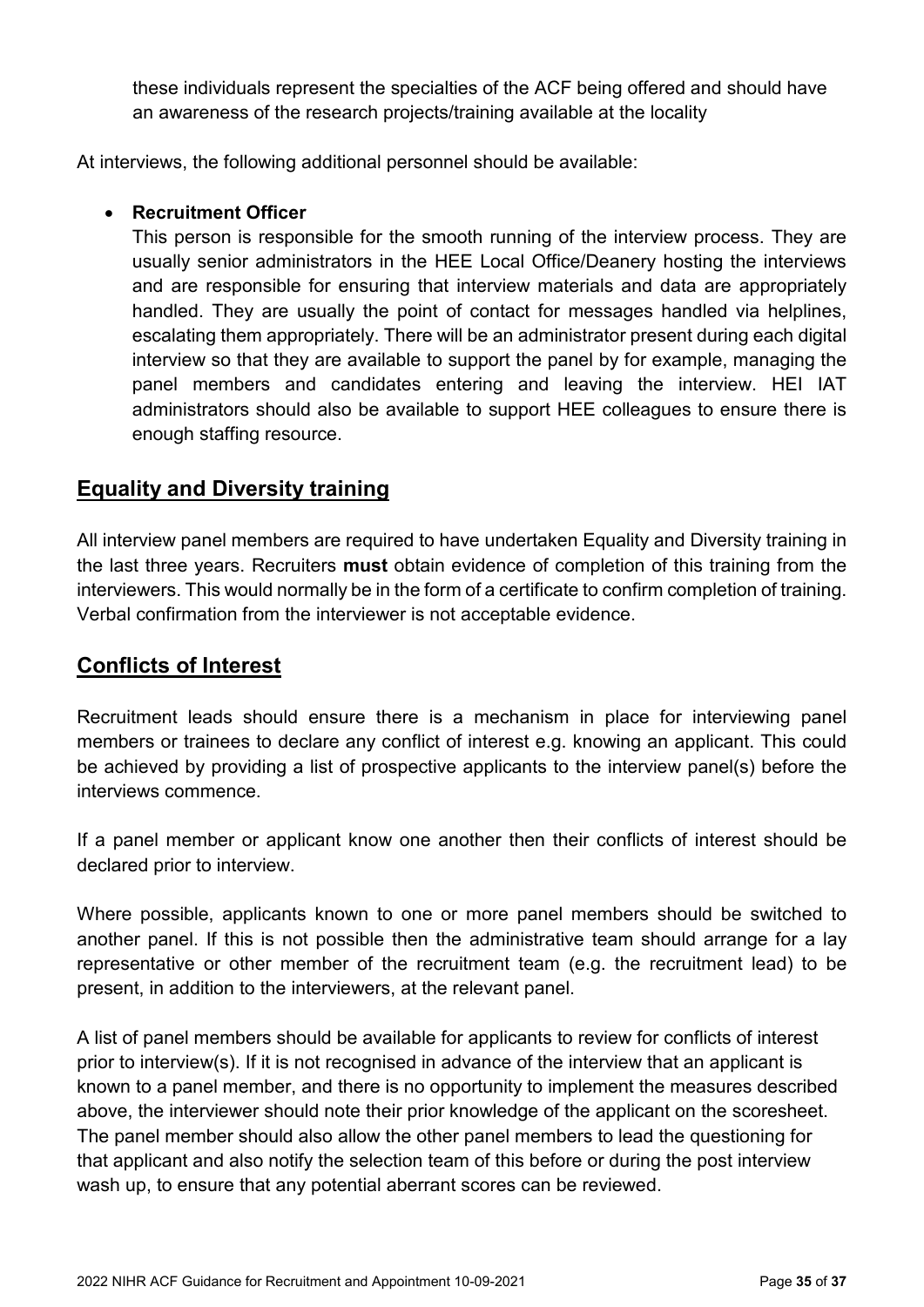these individuals represent the specialties of the ACF being offered and should have an awareness of the research projects/training available at the locality

At interviews, the following additional personnel should be available:

#### • **Recruitment Officer**

This person is responsible for the smooth running of the interview process. They are usually senior administrators in the HEE Local Office/Deanery hosting the interviews and are responsible for ensuring that interview materials and data are appropriately handled. They are usually the point of contact for messages handled via helplines, escalating them appropriately. There will be an administrator present during each digital interview so that they are available to support the panel by for example, managing the panel members and candidates entering and leaving the interview. HEI IAT administrators should also be available to support HEE colleagues to ensure there is enough staffing resource.

### **Equality and Diversity training**

All interview panel members are required to have undertaken Equality and Diversity training in the last three years. Recruiters **must** obtain evidence of completion of this training from the interviewers. This would normally be in the form of a certificate to confirm completion of training. Verbal confirmation from the interviewer is not acceptable evidence.

### **Conflicts of Interest**

Recruitment leads should ensure there is a mechanism in place for interviewing panel members or trainees to declare any conflict of interest e.g. knowing an applicant. This could be achieved by providing a list of prospective applicants to the interview panel(s) before the interviews commence.

If a panel member or applicant know one another then their conflicts of interest should be declared prior to interview.

Where possible, applicants known to one or more panel members should be switched to another panel. If this is not possible then the administrative team should arrange for a lay representative or other member of the recruitment team (e.g. the recruitment lead) to be present, in addition to the interviewers, at the relevant panel.

A list of panel members should be available for applicants to review for conflicts of interest prior to interview(s). If it is not recognised in advance of the interview that an applicant is known to a panel member, and there is no opportunity to implement the measures described above, the interviewer should note their prior knowledge of the applicant on the scoresheet. The panel member should also allow the other panel members to lead the questioning for that applicant and also notify the selection team of this before or during the post interview wash up, to ensure that any potential aberrant scores can be reviewed.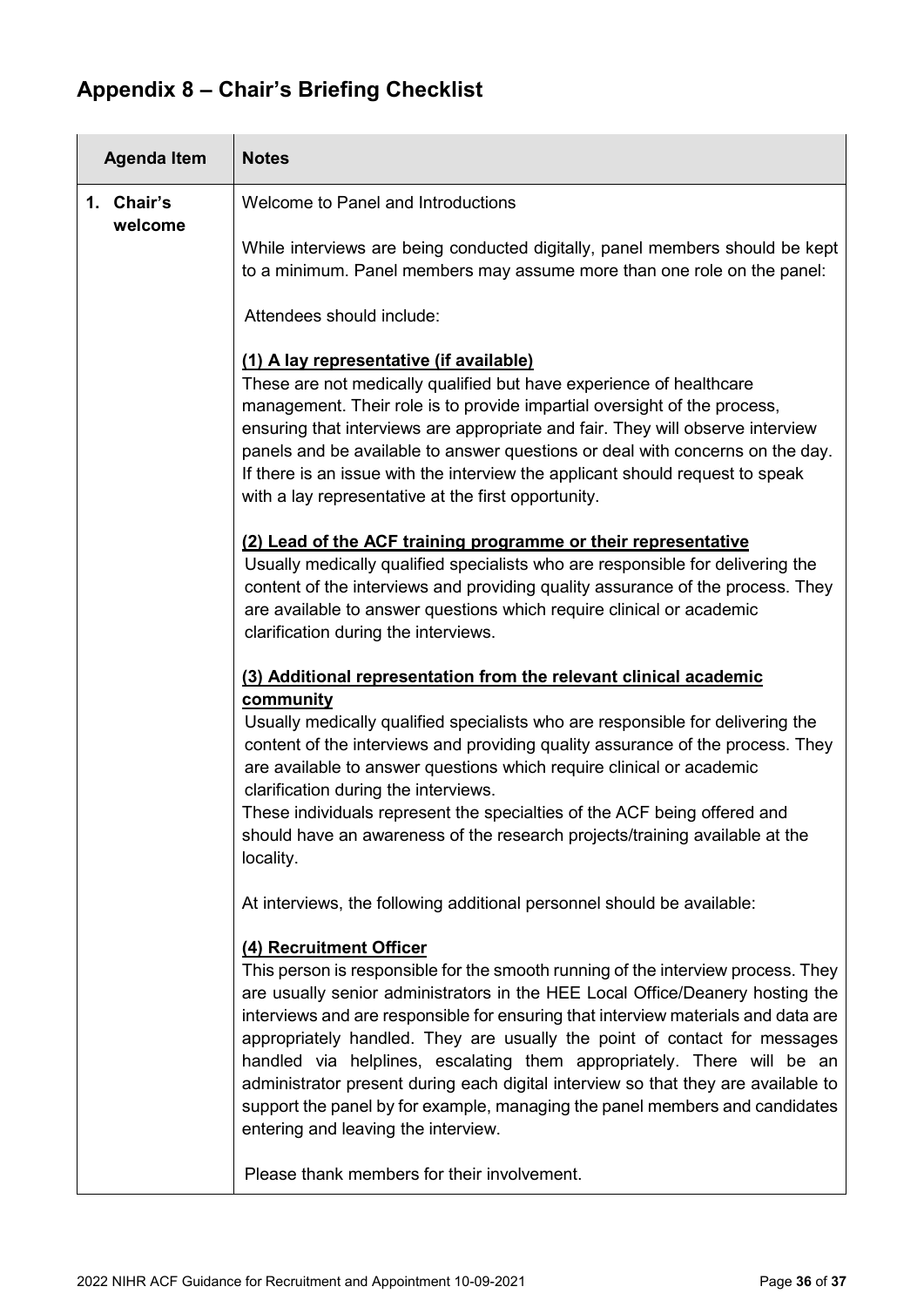## <span id="page-35-0"></span>**Appendix 8 – Chair's Briefing Checklist**

| <b>Agenda Item</b>    | <b>Notes</b>                                                                                                                                                                                                                                                                                                                                                                                                                                                                                                                                                                                                                                                                                       |  |  |  |
|-----------------------|----------------------------------------------------------------------------------------------------------------------------------------------------------------------------------------------------------------------------------------------------------------------------------------------------------------------------------------------------------------------------------------------------------------------------------------------------------------------------------------------------------------------------------------------------------------------------------------------------------------------------------------------------------------------------------------------------|--|--|--|
| 1. Chair's<br>welcome | Welcome to Panel and Introductions                                                                                                                                                                                                                                                                                                                                                                                                                                                                                                                                                                                                                                                                 |  |  |  |
|                       | While interviews are being conducted digitally, panel members should be kept<br>to a minimum. Panel members may assume more than one role on the panel:                                                                                                                                                                                                                                                                                                                                                                                                                                                                                                                                            |  |  |  |
|                       | Attendees should include:                                                                                                                                                                                                                                                                                                                                                                                                                                                                                                                                                                                                                                                                          |  |  |  |
|                       | (1) A lay representative (if available)<br>These are not medically qualified but have experience of healthcare<br>management. Their role is to provide impartial oversight of the process,<br>ensuring that interviews are appropriate and fair. They will observe interview<br>panels and be available to answer questions or deal with concerns on the day.<br>If there is an issue with the interview the applicant should request to speak<br>with a lay representative at the first opportunity.                                                                                                                                                                                              |  |  |  |
|                       | (2) Lead of the ACF training programme or their representative<br>Usually medically qualified specialists who are responsible for delivering the<br>content of the interviews and providing quality assurance of the process. They<br>are available to answer questions which require clinical or academic<br>clarification during the interviews.                                                                                                                                                                                                                                                                                                                                                 |  |  |  |
|                       | (3) Additional representation from the relevant clinical academic                                                                                                                                                                                                                                                                                                                                                                                                                                                                                                                                                                                                                                  |  |  |  |
|                       | community<br>Usually medically qualified specialists who are responsible for delivering the<br>content of the interviews and providing quality assurance of the process. They<br>are available to answer questions which require clinical or academic<br>clarification during the interviews.                                                                                                                                                                                                                                                                                                                                                                                                      |  |  |  |
|                       | These individuals represent the specialties of the ACF being offered and<br>should have an awareness of the research projects/training available at the<br>locality.                                                                                                                                                                                                                                                                                                                                                                                                                                                                                                                               |  |  |  |
|                       | At interviews, the following additional personnel should be available:                                                                                                                                                                                                                                                                                                                                                                                                                                                                                                                                                                                                                             |  |  |  |
|                       | (4) Recruitment Officer<br>This person is responsible for the smooth running of the interview process. They<br>are usually senior administrators in the HEE Local Office/Deanery hosting the<br>interviews and are responsible for ensuring that interview materials and data are<br>appropriately handled. They are usually the point of contact for messages<br>handled via helplines, escalating them appropriately. There will be an<br>administrator present during each digital interview so that they are available to<br>support the panel by for example, managing the panel members and candidates<br>entering and leaving the interview.<br>Please thank members for their involvement. |  |  |  |